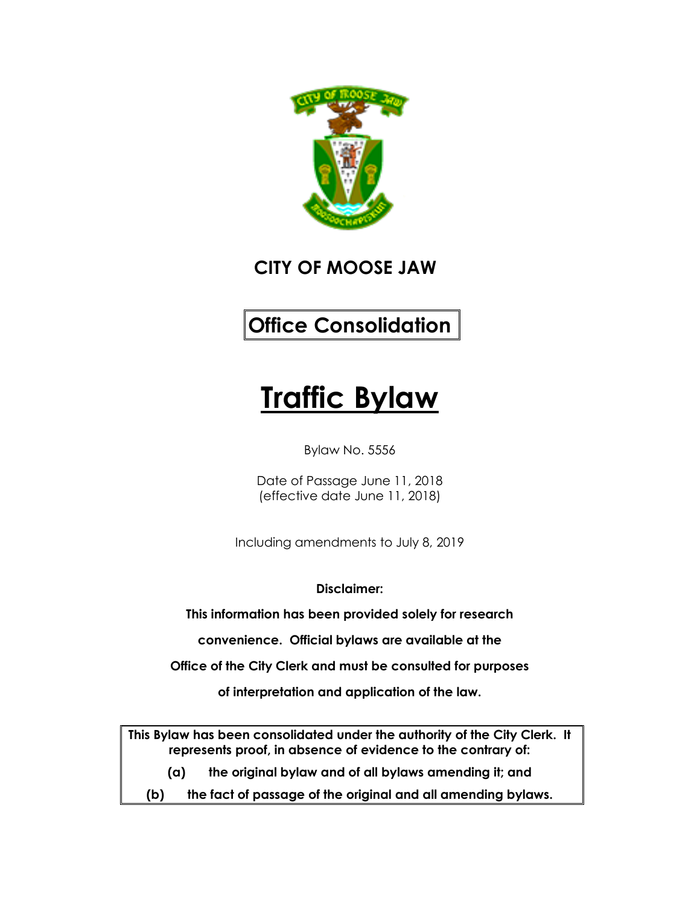

**CITY OF MOOSE JAW**

# **Office Consolidation**

# **Traffic Bylaw**

Bylaw No. 5556

Date of Passage June 11, 2018 (effective date June 11, 2018)

Including amendments to July 8, 2019

**Disclaimer:**

**This information has been provided solely for research**

**convenience. Official bylaws are available at the**

**Office of the City Clerk and must be consulted for purposes**

**of interpretation and application of the law.**

**This Bylaw has been consolidated under the authority of the City Clerk. It represents proof, in absence of evidence to the contrary of:**

- **(a) the original bylaw and of all bylaws amending it; and**
- **(b) the fact of passage of the original and all amending bylaws.**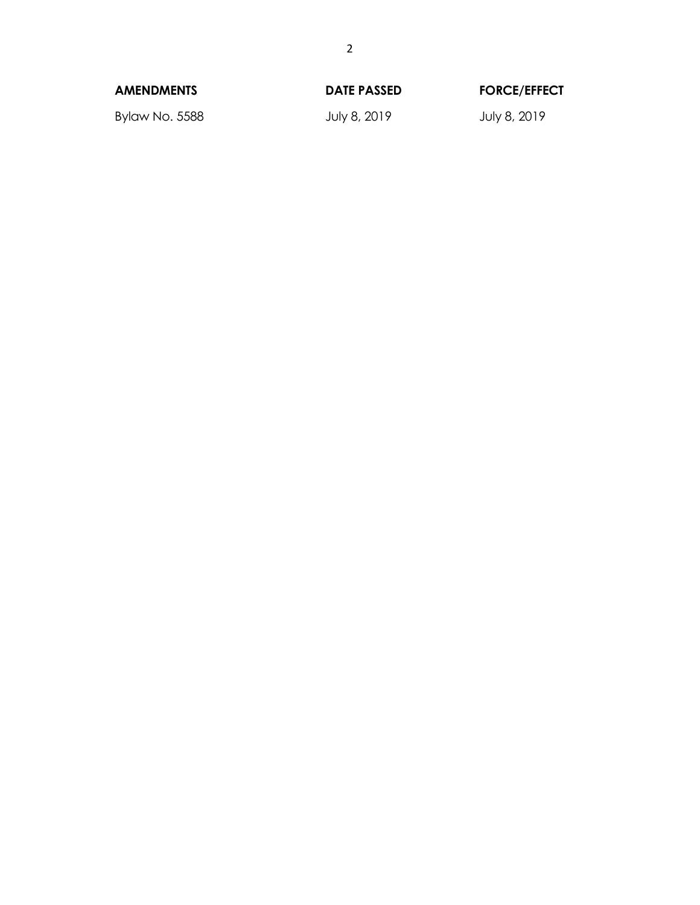| <b>AMENDMENTS</b> | <b>DATE PASSED</b> | <b>FORCE/EFFECT</b> |
|-------------------|--------------------|---------------------|
| Bylaw No. 5588    | July 8, 2019       | July 8, 2019        |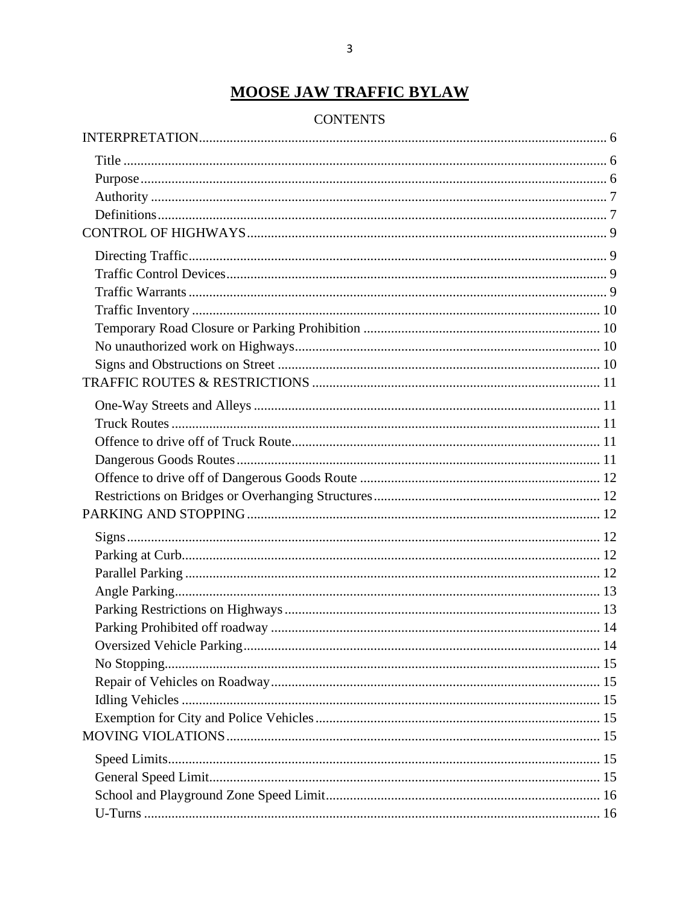## **MOOSE JAW TRAFFIC BYLAW**

#### **CONTENTS**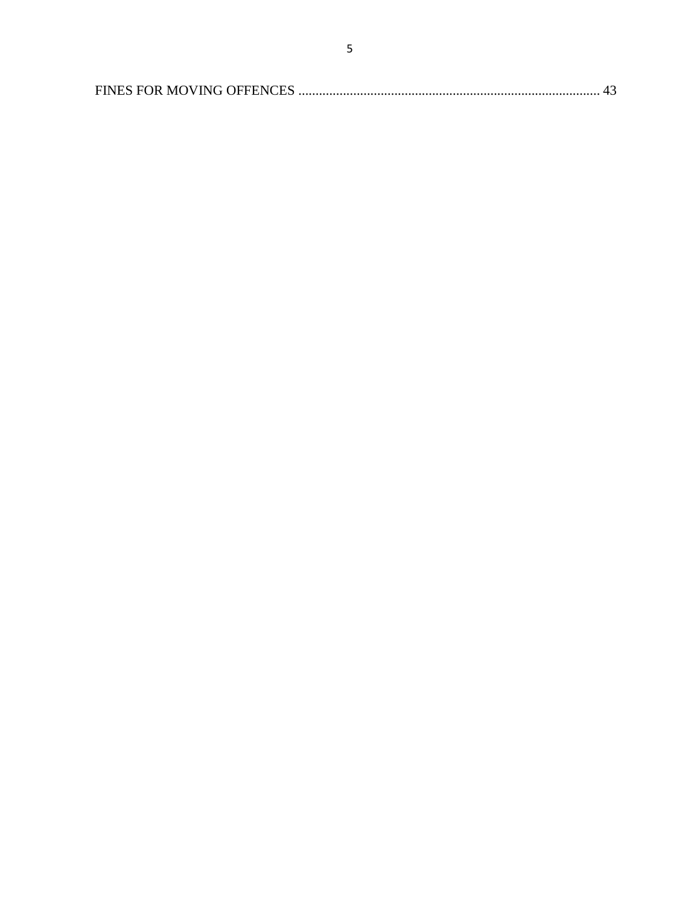|--|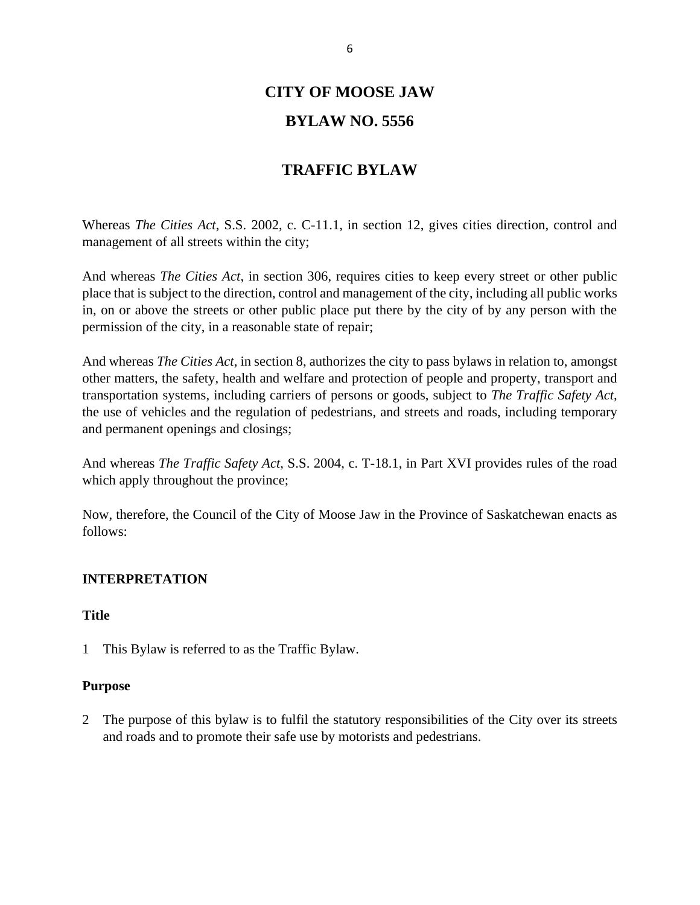## **CITY OF MOOSE JAW**

#### **BYLAW NO. 5556**

#### **TRAFFIC BYLAW**

Whereas *The Cities Act*, S.S. 2002, c. C-11.1, in section 12, gives cities direction, control and management of all streets within the city;

And whereas *The Cities Act*, in section 306, requires cities to keep every street or other public place that is subject to the direction, control and management of the city, including all public works in, on or above the streets or other public place put there by the city of by any person with the permission of the city, in a reasonable state of repair;

And whereas *The Cities Act*, in section 8, authorizes the city to pass bylaws in relation to, amongst other matters, the safety, health and welfare and protection of people and property, transport and transportation systems, including carriers of persons or goods, subject to *The Traffic Safety Act,* the use of vehicles and the regulation of pedestrians, and streets and roads, including temporary and permanent openings and closings;

And whereas *The Traffic Safety Act*, S.S. 2004, c. T-18.1, in Part XVI provides rules of the road which apply throughout the province;

Now, therefore, the Council of the City of Moose Jaw in the Province of Saskatchewan enacts as follows:

#### <span id="page-5-0"></span>**INTERPRETATION**

#### <span id="page-5-1"></span>**Title**

1 This Bylaw is referred to as the Traffic Bylaw.

#### <span id="page-5-2"></span>**Purpose**

2 The purpose of this bylaw is to fulfil the statutory responsibilities of the City over its streets and roads and to promote their safe use by motorists and pedestrians.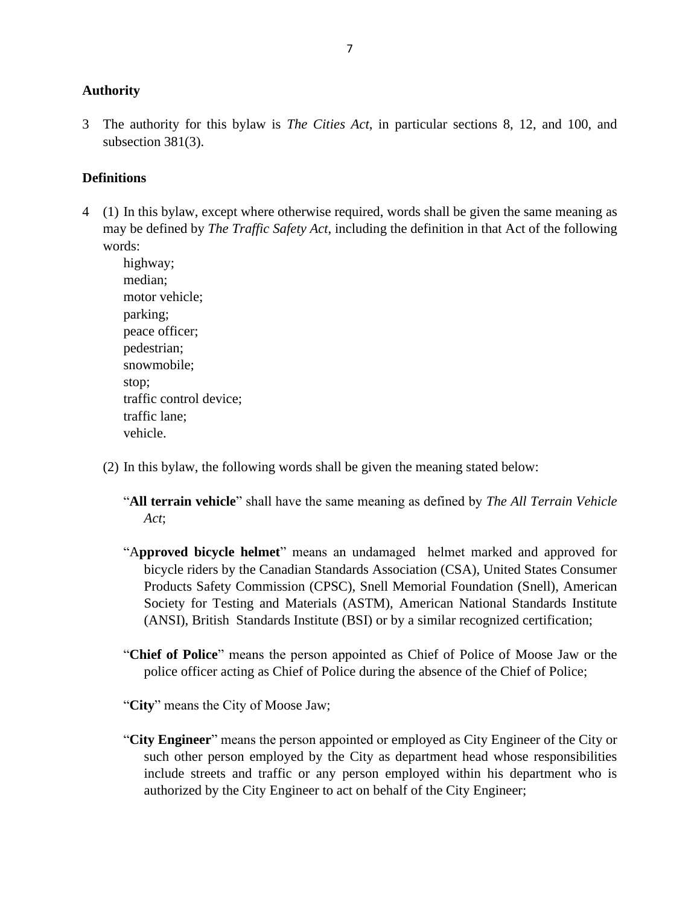#### <span id="page-6-0"></span>**Authority**

3 The authority for this bylaw is *The Cities Act*, in particular sections 8, 12, and 100, and subsection 381(3).

#### <span id="page-6-1"></span>**Definitions**

4 (1) In this bylaw, except where otherwise required, words shall be given the same meaning as may be defined by *The Traffic Safety Act*, including the definition in that Act of the following words:

highway; median; motor vehicle; parking; peace officer; pedestrian; snowmobile; stop; traffic control device; traffic lane; vehicle.

- (2) In this bylaw, the following words shall be given the meaning stated below:
	- "**All terrain vehicle**" shall have the same meaning as defined by *The All Terrain Vehicle Act*;
	- "A**pproved bicycle helmet**" means an undamaged helmet marked and approved for bicycle riders by the Canadian Standards Association (CSA), United States Consumer Products Safety Commission (CPSC), Snell Memorial Foundation (Snell), American Society for Testing and Materials (ASTM), American National Standards Institute (ANSI), British Standards Institute (BSI) or by a similar recognized certification;
	- "**Chief of Police**" means the person appointed as Chief of Police of Moose Jaw or the police officer acting as Chief of Police during the absence of the Chief of Police;
	- "**City**" means the City of Moose Jaw;
	- "**City Engineer**" means the person appointed or employed as City Engineer of the City or such other person employed by the City as department head whose responsibilities include streets and traffic or any person employed within his department who is authorized by the City Engineer to act on behalf of the City Engineer;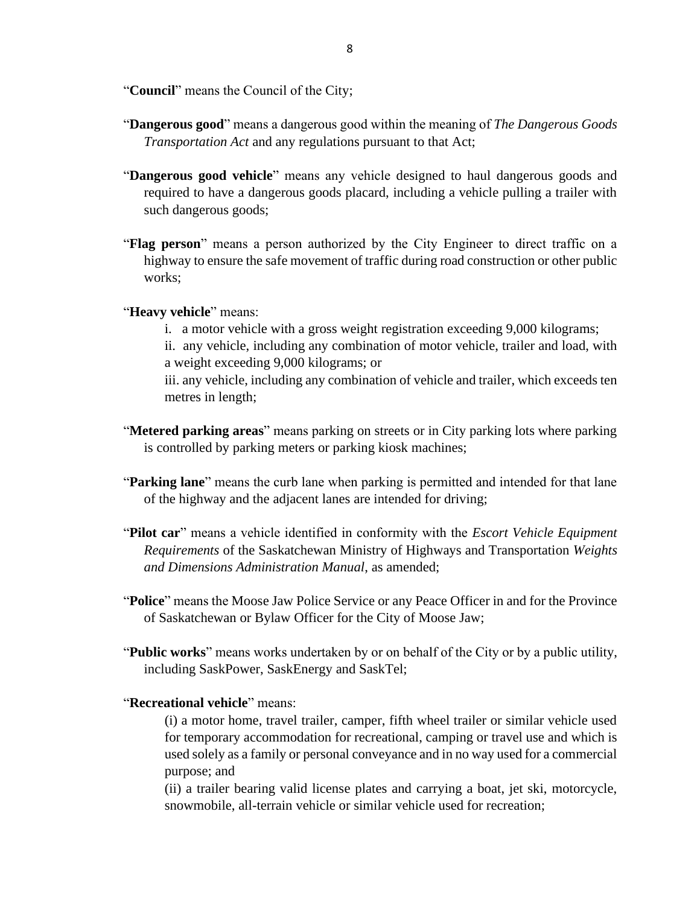"**Council**" means the Council of the City;

- "**Dangerous good**" means a dangerous good within the meaning of *The Dangerous Goods Transportation Act* and any regulations pursuant to that Act;
- "**Dangerous good vehicle**" means any vehicle designed to haul dangerous goods and required to have a dangerous goods placard, including a vehicle pulling a trailer with such dangerous goods;
- "**Flag person**" means a person authorized by the City Engineer to direct traffic on a highway to ensure the safe movement of traffic during road construction or other public works;

#### "**Heavy vehicle**" means:

- i. a motor vehicle with a gross weight registration exceeding 9,000 kilograms;
- ii. any vehicle, including any combination of motor vehicle, trailer and load, with a weight exceeding 9,000 kilograms; or

iii. any vehicle, including any combination of vehicle and trailer, which exceeds ten metres in length;

- "**Metered parking areas**" means parking on streets or in City parking lots where parking is controlled by parking meters or parking kiosk machines;
- "**Parking lane**" means the curb lane when parking is permitted and intended for that lane of the highway and the adjacent lanes are intended for driving;
- "**Pilot car**" means a vehicle identified in conformity with the *Escort Vehicle Equipment Requirements* of the Saskatchewan Ministry of Highways and Transportation *Weights and Dimensions Administration Manual*, as amended;
- "**Police**" means the Moose Jaw Police Service or any Peace Officer in and for the Province of Saskatchewan or Bylaw Officer for the City of Moose Jaw;
- "**Public works**" means works undertaken by or on behalf of the City or by a public utility, including SaskPower, SaskEnergy and SaskTel;
- "**Recreational vehicle**" means:

(i) a motor home, travel trailer, camper, fifth wheel trailer or similar vehicle used for temporary accommodation for recreational, camping or travel use and which is used solely as a family or personal conveyance and in no way used for a commercial purpose; and

(ii) a trailer bearing valid license plates and carrying a boat, jet ski, motorcycle, snowmobile, all-terrain vehicle or similar vehicle used for recreation;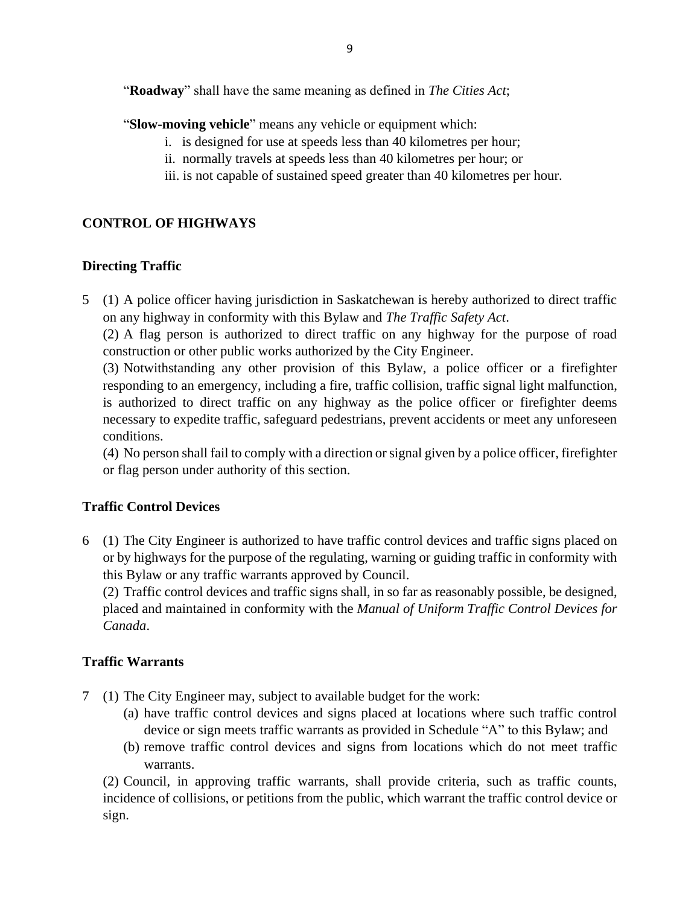"**Roadway**" shall have the same meaning as defined in *The Cities Act*;

- "**Slow-moving vehicle**" means any vehicle or equipment which:
	- i. is designed for use at speeds less than 40 kilometres per hour;
	- ii. normally travels at speeds less than 40 kilometres per hour; or
	- iii. is not capable of sustained speed greater than 40 kilometres per hour.

#### <span id="page-8-0"></span>**CONTROL OF HIGHWAYS**

#### <span id="page-8-1"></span>**Directing Traffic**

5 (1) A police officer having jurisdiction in Saskatchewan is hereby authorized to direct traffic on any highway in conformity with this Bylaw and *The Traffic Safety Act*.

(2) A flag person is authorized to direct traffic on any highway for the purpose of road construction or other public works authorized by the City Engineer.

(3) Notwithstanding any other provision of this Bylaw, a police officer or a firefighter responding to an emergency, including a fire, traffic collision, traffic signal light malfunction, is authorized to direct traffic on any highway as the police officer or firefighter deems necessary to expedite traffic, safeguard pedestrians, prevent accidents or meet any unforeseen conditions.

(4) No person shall fail to comply with a direction or signal given by a police officer, firefighter or flag person under authority of this section.

#### <span id="page-8-2"></span>**Traffic Control Devices**

6 (1) The City Engineer is authorized to have traffic control devices and traffic signs placed on or by highways for the purpose of the regulating, warning or guiding traffic in conformity with this Bylaw or any traffic warrants approved by Council.

(2) Traffic control devices and traffic signs shall, in so far as reasonably possible, be designed, placed and maintained in conformity with the *Manual of Uniform Traffic Control Devices for Canada*.

#### <span id="page-8-3"></span>**Traffic Warrants**

- 7 (1) The City Engineer may, subject to available budget for the work:
	- (a) have traffic control devices and signs placed at locations where such traffic control device or sign meets traffic warrants as provided in Schedule "A" to this Bylaw; and
	- (b) remove traffic control devices and signs from locations which do not meet traffic warrants.

(2) Council, in approving traffic warrants, shall provide criteria, such as traffic counts, incidence of collisions, or petitions from the public, which warrant the traffic control device or sign.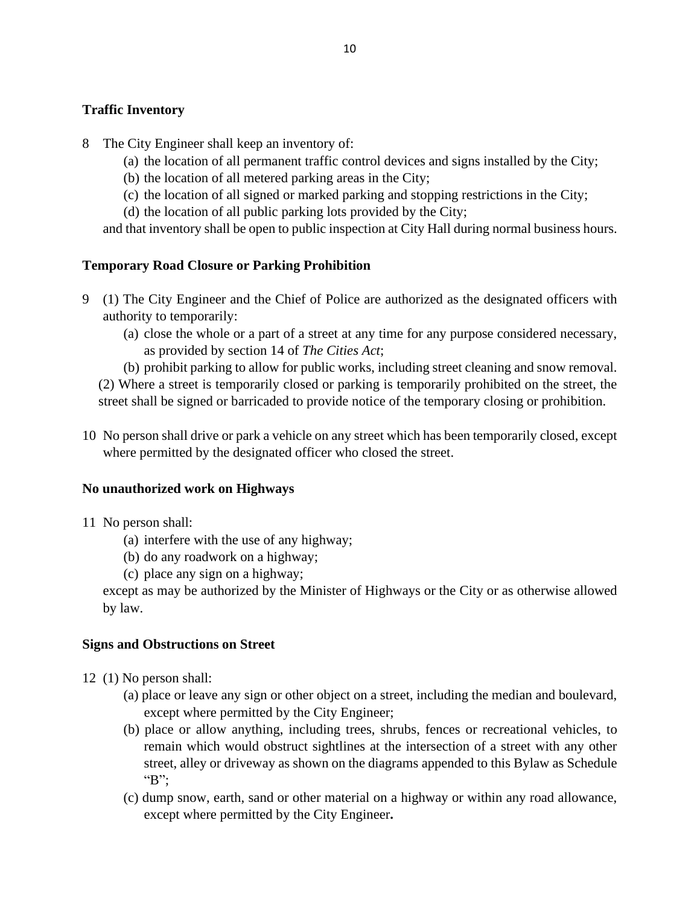#### <span id="page-9-0"></span>**Traffic Inventory**

- 8 The City Engineer shall keep an inventory of:
	- (a) the location of all permanent traffic control devices and signs installed by the City;
	- (b) the location of all metered parking areas in the City;
	- (c) the location of all signed or marked parking and stopping restrictions in the City;
	- (d) the location of all public parking lots provided by the City;

and that inventory shall be open to public inspection at City Hall during normal business hours.

#### <span id="page-9-1"></span>**Temporary Road Closure or Parking Prohibition**

- 9 (1) The City Engineer and the Chief of Police are authorized as the designated officers with authority to temporarily:
	- (a) close the whole or a part of a street at any time for any purpose considered necessary, as provided by section 14 of *The Cities Act*;
	- (b) prohibit parking to allow for public works, including street cleaning and snow removal.

(2) Where a street is temporarily closed or parking is temporarily prohibited on the street, the street shall be signed or barricaded to provide notice of the temporary closing or prohibition.

10 No person shall drive or park a vehicle on any street which has been temporarily closed, except where permitted by the designated officer who closed the street.

#### <span id="page-9-2"></span>**No unauthorized work on Highways**

- 11 No person shall:
	- (a) interfere with the use of any highway;
	- (b) do any roadwork on a highway;
	- (c) place any sign on a highway;

except as may be authorized by the Minister of Highways or the City or as otherwise allowed by law.

#### <span id="page-9-3"></span>**Signs and Obstructions on Street**

- 12 (1) No person shall:
	- (a) place or leave any sign or other object on a street, including the median and boulevard, except where permitted by the City Engineer;
	- (b) place or allow anything, including trees, shrubs, fences or recreational vehicles, to remain which would obstruct sightlines at the intersection of a street with any other street, alley or driveway as shown on the diagrams appended to this Bylaw as Schedule "B";
	- (c) dump snow, earth, sand or other material on a highway or within any road allowance, except where permitted by the City Engineer**.**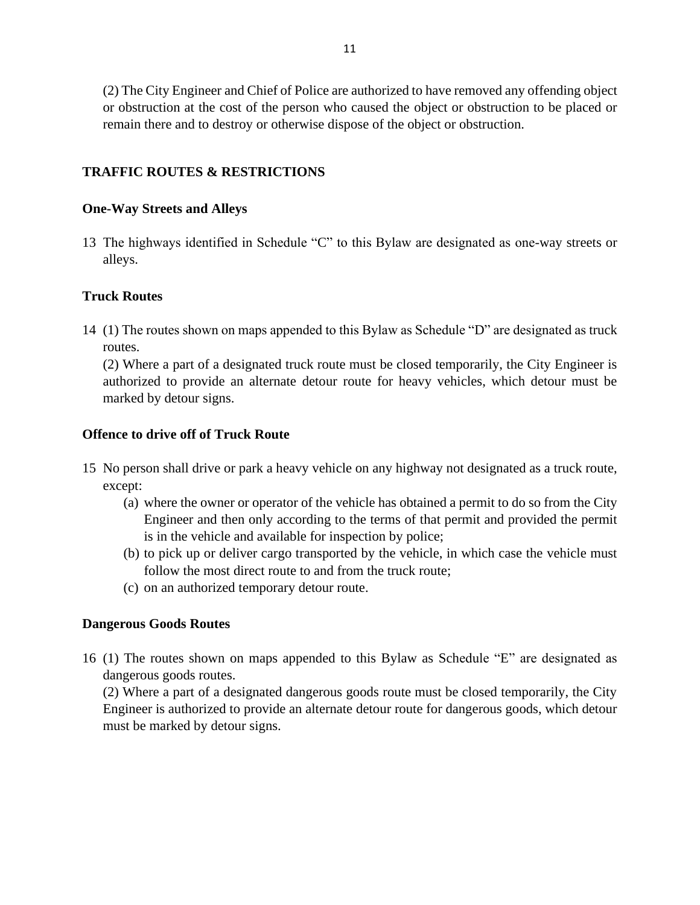(2) The City Engineer and Chief of Police are authorized to have removed any offending object or obstruction at the cost of the person who caused the object or obstruction to be placed or remain there and to destroy or otherwise dispose of the object or obstruction.

#### <span id="page-10-0"></span>**TRAFFIC ROUTES & RESTRICTIONS**

#### <span id="page-10-1"></span>**One-Way Streets and Alleys**

13 The highways identified in Schedule "C" to this Bylaw are designated as one-way streets or alleys.

#### <span id="page-10-2"></span>**Truck Routes**

14 (1) The routes shown on maps appended to this Bylaw as Schedule "D" are designated as truck routes.

(2) Where a part of a designated truck route must be closed temporarily, the City Engineer is authorized to provide an alternate detour route for heavy vehicles, which detour must be marked by detour signs.

#### <span id="page-10-3"></span>**Offence to drive off of Truck Route**

- 15 No person shall drive or park a heavy vehicle on any highway not designated as a truck route, except:
	- (a) where the owner or operator of the vehicle has obtained a permit to do so from the City Engineer and then only according to the terms of that permit and provided the permit is in the vehicle and available for inspection by police;
	- (b) to pick up or deliver cargo transported by the vehicle, in which case the vehicle must follow the most direct route to and from the truck route;
	- (c) on an authorized temporary detour route.

#### <span id="page-10-4"></span>**Dangerous Goods Routes**

16 (1) The routes shown on maps appended to this Bylaw as Schedule "E" are designated as dangerous goods routes.

(2) Where a part of a designated dangerous goods route must be closed temporarily, the City Engineer is authorized to provide an alternate detour route for dangerous goods, which detour must be marked by detour signs.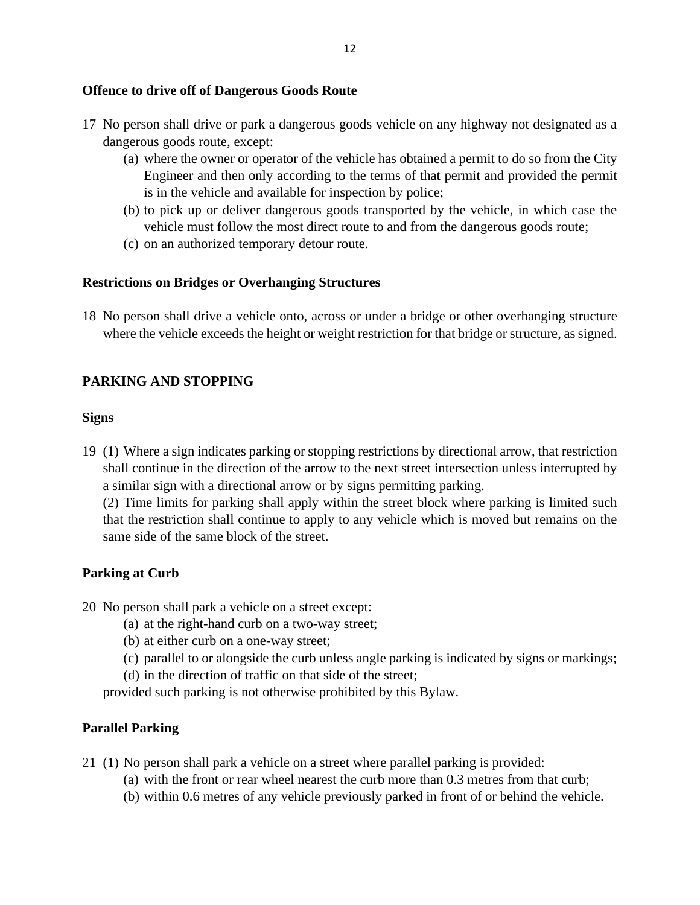#### <span id="page-11-0"></span>**Offence to drive off of Dangerous Goods Route**

- 17 No person shall drive or park a dangerous goods vehicle on any highway not designated as a dangerous goods route, except:
	- (a) where the owner or operator of the vehicle has obtained a permit to do so from the City Engineer and then only according to the terms of that permit and provided the permit is in the vehicle and available for inspection by police;
	- (b) to pick up or deliver dangerous goods transported by the vehicle, in which case the vehicle must follow the most direct route to and from the dangerous goods route;
	- (c) on an authorized temporary detour route.

#### <span id="page-11-1"></span>**Restrictions on Bridges or Overhanging Structures**

18 No person shall drive a vehicle onto, across or under a bridge or other overhanging structure where the vehicle exceeds the height or weight restriction for that bridge or structure, as signed.

#### <span id="page-11-2"></span>**PARKING AND STOPPING**

#### <span id="page-11-3"></span>**Signs**

19 (1) Where a sign indicates parking or stopping restrictions by directional arrow, that restriction shall continue in the direction of the arrow to the next street intersection unless interrupted by a similar sign with a directional arrow or by signs permitting parking.

(2) Time limits for parking shall apply within the street block where parking is limited such that the restriction shall continue to apply to any vehicle which is moved but remains on the same side of the same block of the street.

#### <span id="page-11-4"></span>**Parking at Curb**

20 No person shall park a vehicle on a street except:

- (a) at the right-hand curb on a two-way street;
- (b) at either curb on a one-way street;
- (c) parallel to or alongside the curb unless angle parking is indicated by signs or markings;
- (d) in the direction of traffic on that side of the street;

provided such parking is not otherwise prohibited by this Bylaw.

#### <span id="page-11-5"></span>**Parallel Parking**

- 21 (1) No person shall park a vehicle on a street where parallel parking is provided:
	- (a) with the front or rear wheel nearest the curb more than 0.3 metres from that curb;
	- (b) within 0.6 metres of any vehicle previously parked in front of or behind the vehicle.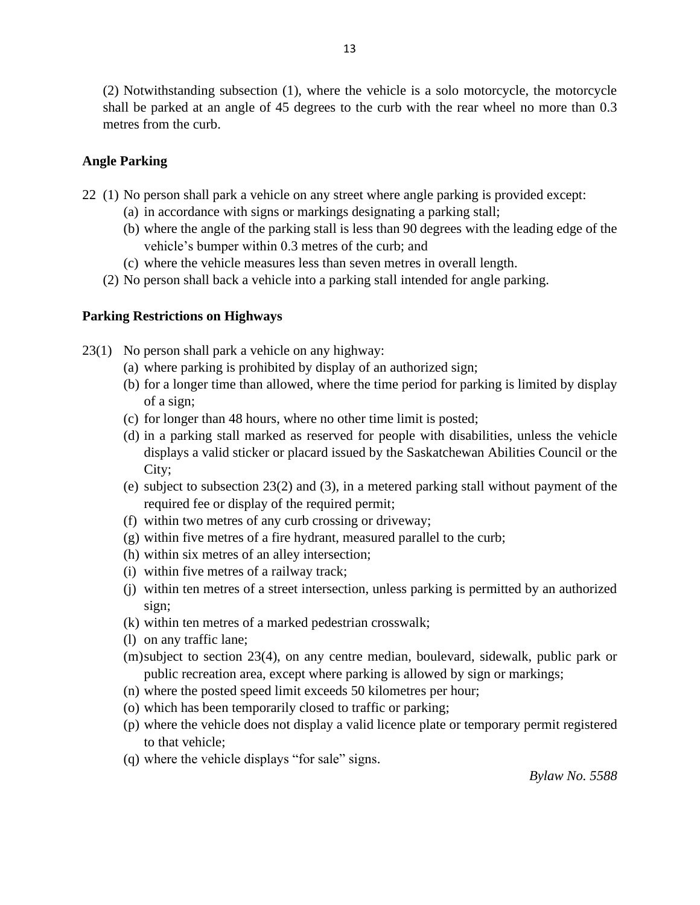(2) Notwithstanding subsection (1), where the vehicle is a solo motorcycle, the motorcycle shall be parked at an angle of 45 degrees to the curb with the rear wheel no more than 0.3 metres from the curb.

#### <span id="page-12-0"></span>**Angle Parking**

- 22 (1) No person shall park a vehicle on any street where angle parking is provided except:
	- (a) in accordance with signs or markings designating a parking stall;
	- (b) where the angle of the parking stall is less than 90 degrees with the leading edge of the vehicle's bumper within 0.3 metres of the curb; and
	- (c) where the vehicle measures less than seven metres in overall length.
	- (2) No person shall back a vehicle into a parking stall intended for angle parking.

#### <span id="page-12-1"></span>**Parking Restrictions on Highways**

23(1) No person shall park a vehicle on any highway:

- (a) where parking is prohibited by display of an authorized sign;
- (b) for a longer time than allowed, where the time period for parking is limited by display of a sign;
- (c) for longer than 48 hours, where no other time limit is posted;
- (d) in a parking stall marked as reserved for people with disabilities, unless the vehicle displays a valid sticker or placard issued by the Saskatchewan Abilities Council or the City;
- (e) subject to subsection 23(2) and (3), in a metered parking stall without payment of the required fee or display of the required permit;
- (f) within two metres of any curb crossing or driveway;
- (g) within five metres of a fire hydrant, measured parallel to the curb;
- (h) within six metres of an alley intersection;
- (i) within five metres of a railway track;
- (j) within ten metres of a street intersection, unless parking is permitted by an authorized sign;
- (k) within ten metres of a marked pedestrian crosswalk;
- (l) on any traffic lane;
- (m)subject to section 23(4), on any centre median, boulevard, sidewalk, public park or public recreation area, except where parking is allowed by sign or markings;
- (n) where the posted speed limit exceeds 50 kilometres per hour;
- (o) which has been temporarily closed to traffic or parking;
- (p) where the vehicle does not display a valid licence plate or temporary permit registered to that vehicle;
- (q) where the vehicle displays "for sale" signs.

*Bylaw No. 5588*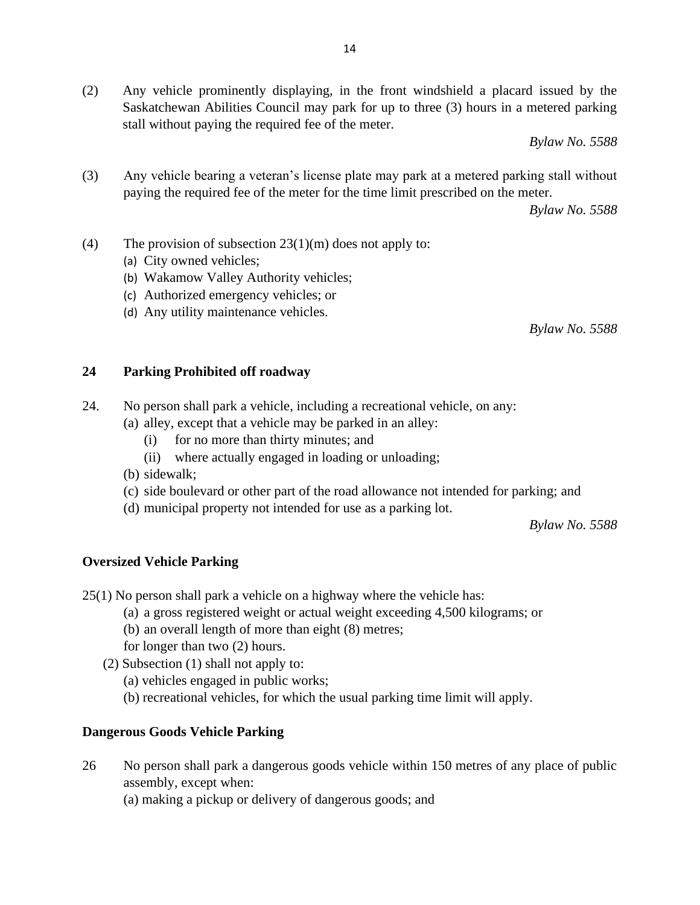(2) Any vehicle prominently displaying, in the front windshield a placard issued by the Saskatchewan Abilities Council may park for up to three (3) hours in a metered parking stall without paying the required fee of the meter.

*Bylaw No. 5588*

(3) Any vehicle bearing a veteran's license plate may park at a metered parking stall without paying the required fee of the meter for the time limit prescribed on the meter.

*Bylaw No. 5588*

- (4) The provision of subsection  $23(1)(m)$  does not apply to:
	- (a) City owned vehicles;
	- (b) Wakamow Valley Authority vehicles;
	- (c) Authorized emergency vehicles; or
	- (d) Any utility maintenance vehicles.

*Bylaw No. 5588*

#### <span id="page-13-0"></span>**24 Parking Prohibited off roadway**

- 24. No person shall park a vehicle, including a recreational vehicle, on any:
	- (a) alley, except that a vehicle may be parked in an alley:
		- (i) for no more than thirty minutes; and
		- (ii) where actually engaged in loading or unloading;
	- (b) sidewalk;
	- (c) side boulevard or other part of the road allowance not intended for parking; and
	- (d) municipal property not intended for use as a parking lot.

*Bylaw No. 5588*

#### <span id="page-13-1"></span>**Oversized Vehicle Parking**

25(1) No person shall park a vehicle on a highway where the vehicle has:

- (a) a gross registered weight or actual weight exceeding 4,500 kilograms; or
- (b) an overall length of more than eight (8) metres;
- for longer than two (2) hours.
- (2) Subsection (1) shall not apply to:
	- (a) vehicles engaged in public works;
	- (b) recreational vehicles, for which the usual parking time limit will apply.

#### **Dangerous Goods Vehicle Parking**

- 26 No person shall park a dangerous goods vehicle within 150 metres of any place of public assembly, except when:
	- (a) making a pickup or delivery of dangerous goods; and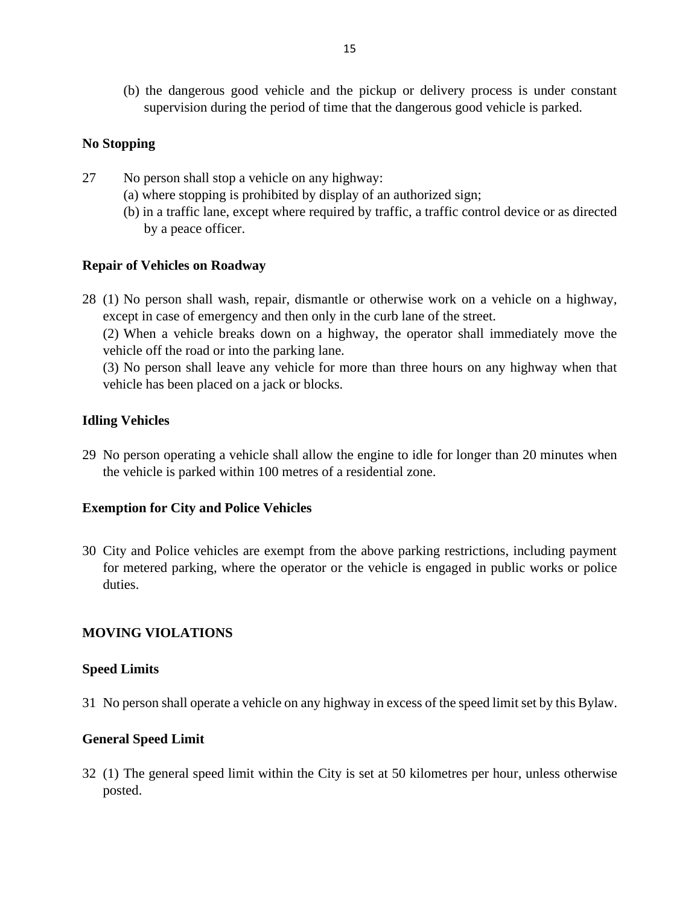(b) the dangerous good vehicle and the pickup or delivery process is under constant supervision during the period of time that the dangerous good vehicle is parked.

#### <span id="page-14-0"></span>**No Stopping**

- 27 No person shall stop a vehicle on any highway:
	- (a) where stopping is prohibited by display of an authorized sign;
	- (b) in a traffic lane, except where required by traffic, a traffic control device or as directed by a peace officer.

#### <span id="page-14-1"></span>**Repair of Vehicles on Roadway**

28 (1) No person shall wash, repair, dismantle or otherwise work on a vehicle on a highway, except in case of emergency and then only in the curb lane of the street.

(2) When a vehicle breaks down on a highway, the operator shall immediately move the vehicle off the road or into the parking lane.

(3) No person shall leave any vehicle for more than three hours on any highway when that vehicle has been placed on a jack or blocks.

#### <span id="page-14-2"></span>**Idling Vehicles**

29 No person operating a vehicle shall allow the engine to idle for longer than 20 minutes when the vehicle is parked within 100 metres of a residential zone.

#### <span id="page-14-3"></span>**Exemption for City and Police Vehicles**

30 City and Police vehicles are exempt from the above parking restrictions, including payment for metered parking, where the operator or the vehicle is engaged in public works or police duties.

#### <span id="page-14-4"></span>**MOVING VIOLATIONS**

#### <span id="page-14-5"></span>**Speed Limits**

31 No person shall operate a vehicle on any highway in excess of the speed limit set by this Bylaw.

#### <span id="page-14-6"></span>**General Speed Limit**

32 (1) The general speed limit within the City is set at 50 kilometres per hour, unless otherwise posted.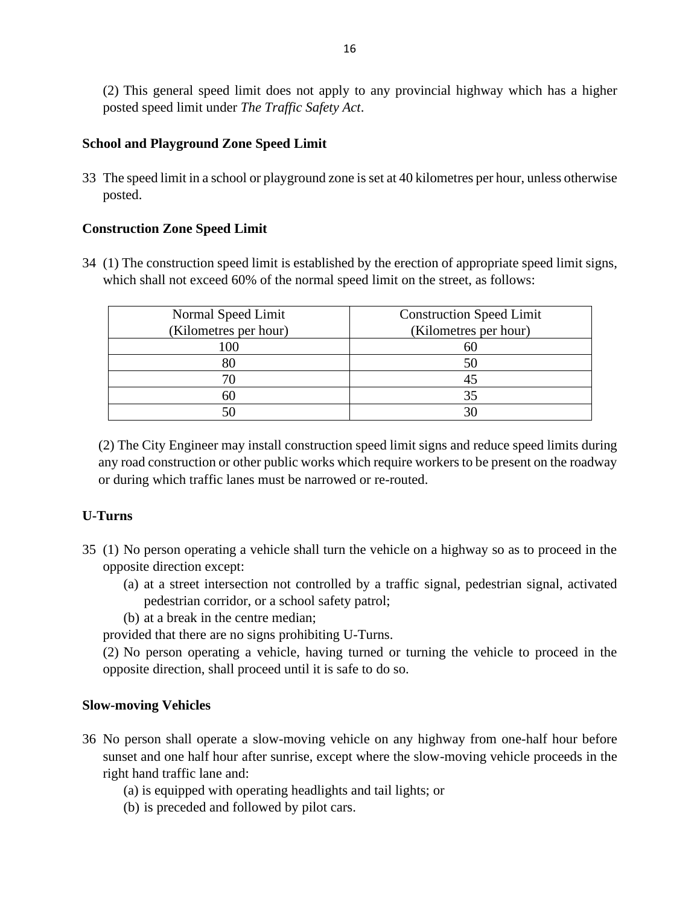(2) This general speed limit does not apply to any provincial highway which has a higher posted speed limit under *The Traffic Safety Act*.

#### <span id="page-15-0"></span>**School and Playground Zone Speed Limit**

33 The speed limit in a school or playground zone is set at 40 kilometres per hour, unless otherwise posted.

#### **Construction Zone Speed Limit**

34 (1) The construction speed limit is established by the erection of appropriate speed limit signs, which shall not exceed 60% of the normal speed limit on the street, as follows:

| Normal Speed Limit    | <b>Construction Speed Limit</b> |
|-----------------------|---------------------------------|
| (Kilometres per hour) | (Kilometres per hour)           |
| .00                   |                                 |
| 80                    | 50                              |
| 70                    | 45                              |
| 60                    | 35                              |
|                       |                                 |

(2) The City Engineer may install construction speed limit signs and reduce speed limits during any road construction or other public works which require workers to be present on the roadway or during which traffic lanes must be narrowed or re-routed.

#### <span id="page-15-1"></span>**U-Turns**

- 35 (1) No person operating a vehicle shall turn the vehicle on a highway so as to proceed in the opposite direction except:
	- (a) at a street intersection not controlled by a traffic signal, pedestrian signal, activated pedestrian corridor, or a school safety patrol;
	- (b) at a break in the centre median;

provided that there are no signs prohibiting U-Turns.

(2) No person operating a vehicle, having turned or turning the vehicle to proceed in the opposite direction, shall proceed until it is safe to do so.

#### <span id="page-15-2"></span>**Slow-moving Vehicles**

- 36 No person shall operate a slow-moving vehicle on any highway from one-half hour before sunset and one half hour after sunrise, except where the slow-moving vehicle proceeds in the right hand traffic lane and:
	- (a) is equipped with operating headlights and tail lights; or
	- (b) is preceded and followed by pilot cars.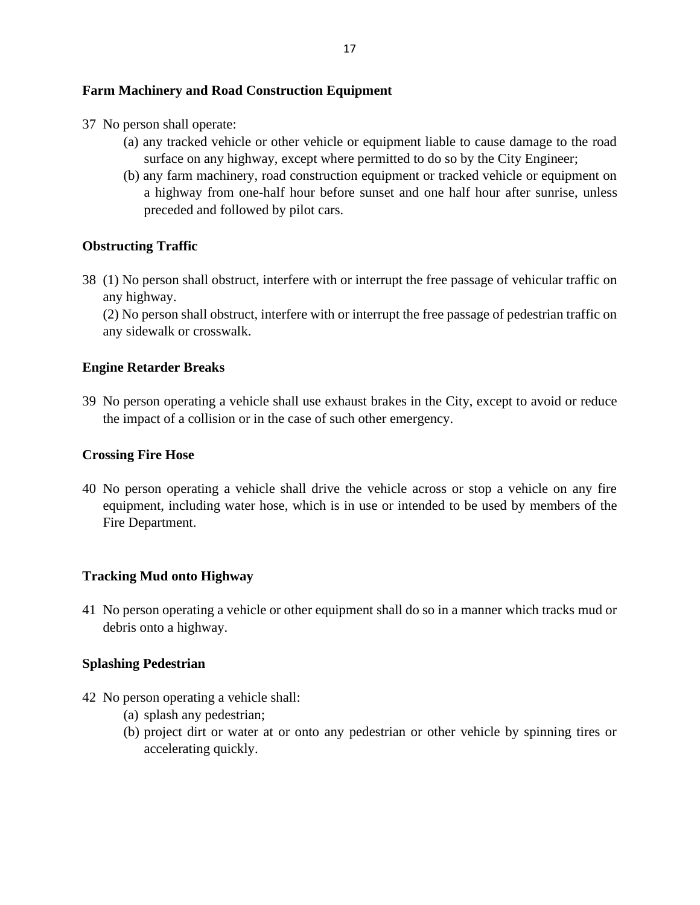#### <span id="page-16-0"></span>**Farm Machinery and Road Construction Equipment**

- 37 No person shall operate:
	- (a) any tracked vehicle or other vehicle or equipment liable to cause damage to the road surface on any highway, except where permitted to do so by the City Engineer;
	- (b) any farm machinery, road construction equipment or tracked vehicle or equipment on a highway from one-half hour before sunset and one half hour after sunrise, unless preceded and followed by pilot cars.

## <span id="page-16-1"></span>**Obstructing Traffic**

38 (1) No person shall obstruct, interfere with or interrupt the free passage of vehicular traffic on any highway.

(2) No person shall obstruct, interfere with or interrupt the free passage of pedestrian traffic on any sidewalk or crosswalk.

## <span id="page-16-2"></span>**Engine Retarder Breaks**

39 No person operating a vehicle shall use exhaust brakes in the City, except to avoid or reduce the impact of a collision or in the case of such other emergency.

#### <span id="page-16-3"></span>**Crossing Fire Hose**

40 No person operating a vehicle shall drive the vehicle across or stop a vehicle on any fire equipment, including water hose, which is in use or intended to be used by members of the Fire Department.

## <span id="page-16-4"></span>**Tracking Mud onto Highway**

41 No person operating a vehicle or other equipment shall do so in a manner which tracks mud or debris onto a highway.

## <span id="page-16-5"></span>**Splashing Pedestrian**

- 42 No person operating a vehicle shall:
	- (a) splash any pedestrian;
	- (b) project dirt or water at or onto any pedestrian or other vehicle by spinning tires or accelerating quickly.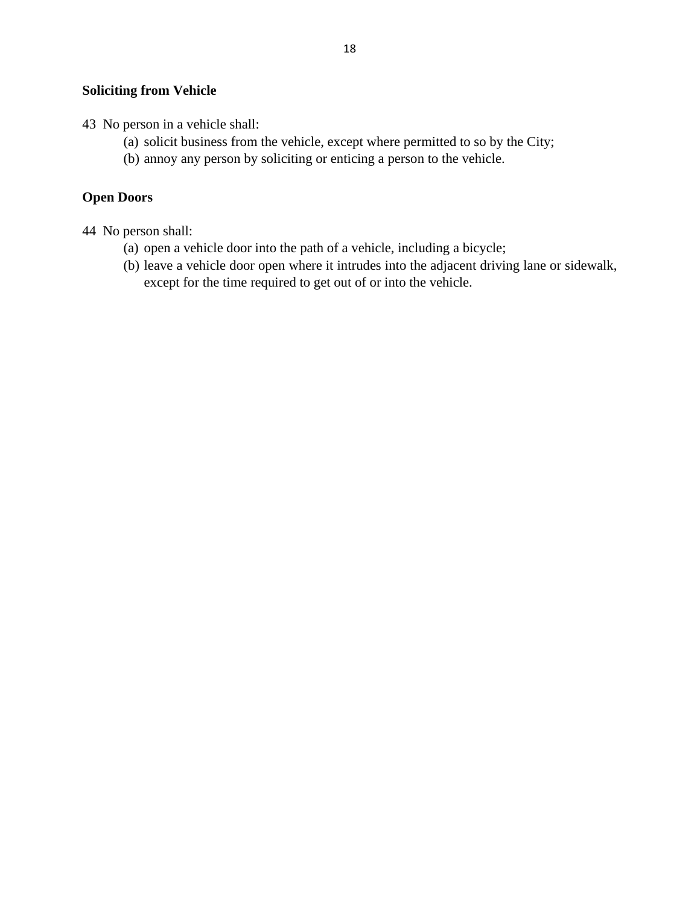#### <span id="page-17-0"></span>**Soliciting from Vehicle**

- 43 No person in a vehicle shall:
	- (a) solicit business from the vehicle, except where permitted to so by the City;
	- (b) annoy any person by soliciting or enticing a person to the vehicle.

#### <span id="page-17-1"></span>**Open Doors**

44 No person shall:

- (a) open a vehicle door into the path of a vehicle, including a bicycle;
- (b) leave a vehicle door open where it intrudes into the adjacent driving lane or sidewalk, except for the time required to get out of or into the vehicle.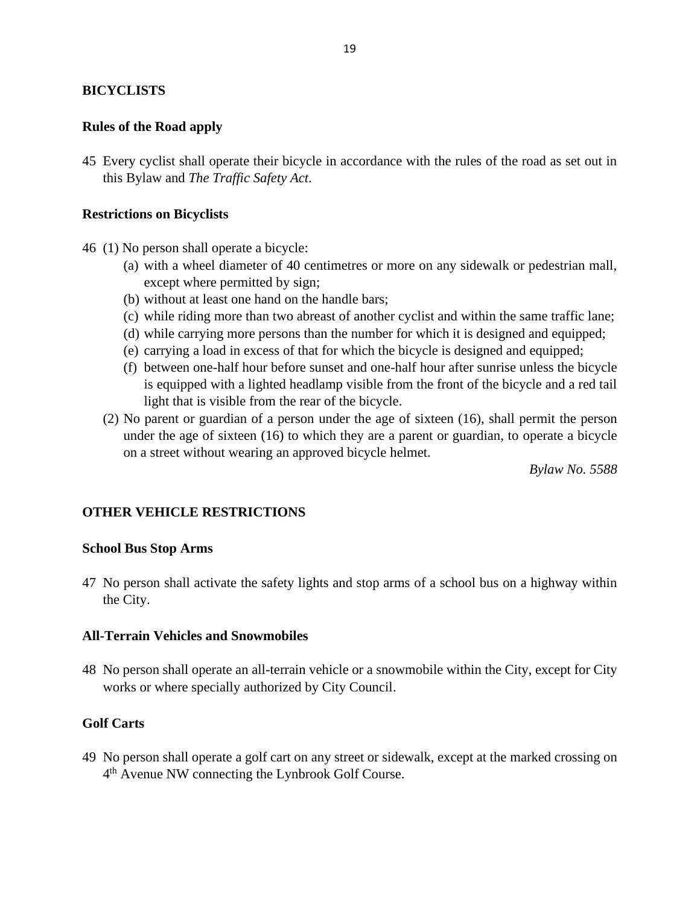#### <span id="page-18-0"></span>**BICYCLISTS**

#### <span id="page-18-1"></span>**Rules of the Road apply**

45 Every cyclist shall operate their bicycle in accordance with the rules of the road as set out in this Bylaw and *The Traffic Safety Act*.

#### <span id="page-18-2"></span>**Restrictions on Bicyclists**

- 46 (1) No person shall operate a bicycle:
	- (a) with a wheel diameter of 40 centimetres or more on any sidewalk or pedestrian mall, except where permitted by sign;
	- (b) without at least one hand on the handle bars;
	- (c) while riding more than two abreast of another cyclist and within the same traffic lane;
	- (d) while carrying more persons than the number for which it is designed and equipped;
	- (e) carrying a load in excess of that for which the bicycle is designed and equipped;
	- (f) between one-half hour before sunset and one-half hour after sunrise unless the bicycle is equipped with a lighted headlamp visible from the front of the bicycle and a red tail light that is visible from the rear of the bicycle.
	- (2) No parent or guardian of a person under the age of sixteen (16), shall permit the person under the age of sixteen (16) to which they are a parent or guardian, to operate a bicycle on a street without wearing an approved bicycle helmet.

*Bylaw No. 5588*

#### <span id="page-18-3"></span>**OTHER VEHICLE RESTRICTIONS**

#### <span id="page-18-4"></span>**School Bus Stop Arms**

47 No person shall activate the safety lights and stop arms of a school bus on a highway within the City.

#### <span id="page-18-5"></span>**All-Terrain Vehicles and Snowmobiles**

48 No person shall operate an all-terrain vehicle or a snowmobile within the City, except for City works or where specially authorized by City Council.

#### <span id="page-18-6"></span>**Golf Carts**

49 No person shall operate a golf cart on any street or sidewalk, except at the marked crossing on 4<sup>th</sup> Avenue NW connecting the Lynbrook Golf Course.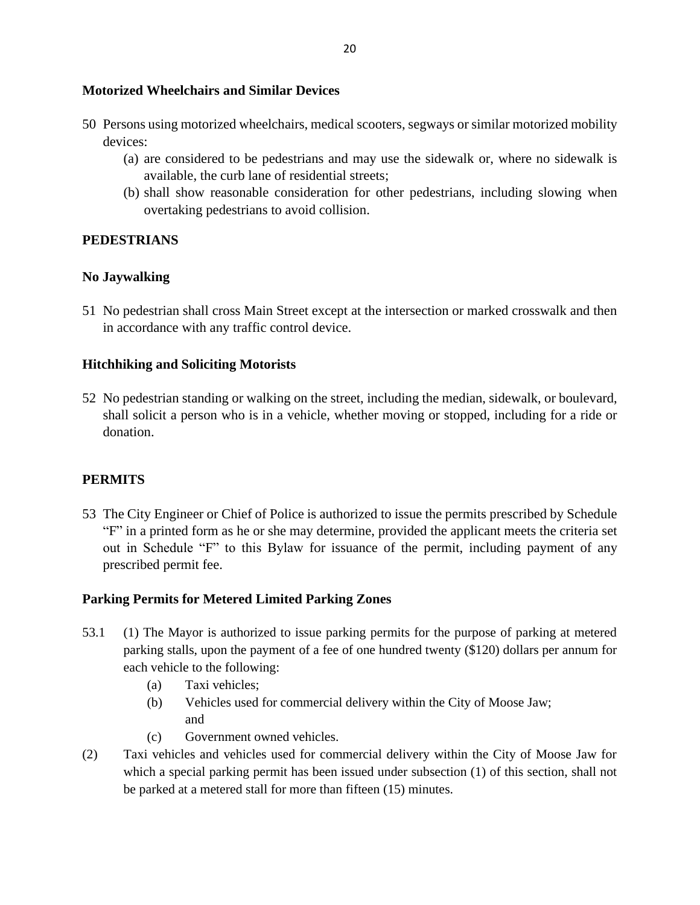#### <span id="page-19-0"></span>**Motorized Wheelchairs and Similar Devices**

- 50 Persons using motorized wheelchairs, medical scooters, segways or similar motorized mobility devices:
	- (a) are considered to be pedestrians and may use the sidewalk or, where no sidewalk is available, the curb lane of residential streets;
	- (b) shall show reasonable consideration for other pedestrians, including slowing when overtaking pedestrians to avoid collision.

#### <span id="page-19-1"></span>**PEDESTRIANS**

#### <span id="page-19-2"></span>**No Jaywalking**

51 No pedestrian shall cross Main Street except at the intersection or marked crosswalk and then in accordance with any traffic control device.

#### <span id="page-19-3"></span>**Hitchhiking and Soliciting Motorists**

52 No pedestrian standing or walking on the street, including the median, sidewalk, or boulevard, shall solicit a person who is in a vehicle, whether moving or stopped, including for a ride or donation.

#### <span id="page-19-4"></span>**PERMITS**

53 The City Engineer or Chief of Police is authorized to issue the permits prescribed by Schedule "F" in a printed form as he or she may determine, provided the applicant meets the criteria set out in Schedule "F" to this Bylaw for issuance of the permit, including payment of any prescribed permit fee.

#### **Parking Permits for Metered Limited Parking Zones**

- 53.1 (1) The Mayor is authorized to issue parking permits for the purpose of parking at metered parking stalls, upon the payment of a fee of one hundred twenty (\$120) dollars per annum for each vehicle to the following:
	- (a) Taxi vehicles;
	- (b) Vehicles used for commercial delivery within the City of Moose Jaw; and
	- (c) Government owned vehicles.
- (2) Taxi vehicles and vehicles used for commercial delivery within the City of Moose Jaw for which a special parking permit has been issued under subsection (1) of this section, shall not be parked at a metered stall for more than fifteen (15) minutes.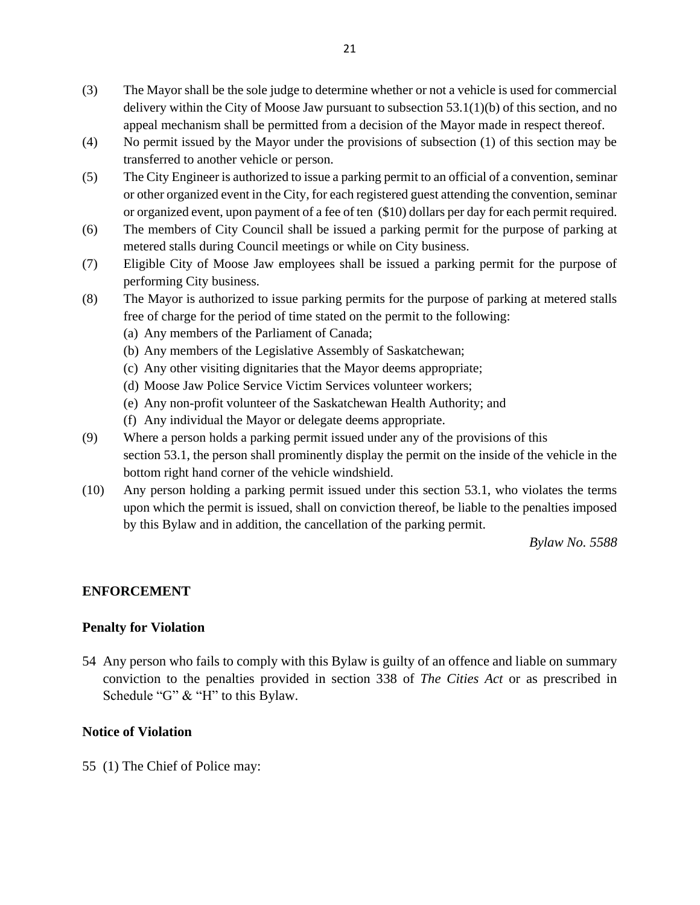- (3) The Mayor shall be the sole judge to determine whether or not a vehicle is used for commercial delivery within the City of Moose Jaw pursuant to subsection 53.1(1)(b) of this section, and no appeal mechanism shall be permitted from a decision of the Mayor made in respect thereof.
- (4) No permit issued by the Mayor under the provisions of subsection (1) of this section may be transferred to another vehicle or person.
- (5) The City Engineer is authorized to issue a parking permit to an official of a convention, seminar or other organized event in the City, for each registered guest attending the convention, seminar or organized event, upon payment of a fee of ten (\$10) dollars per day for each permit required.
- (6) The members of City Council shall be issued a parking permit for the purpose of parking at metered stalls during Council meetings or while on City business.
- (7) Eligible City of Moose Jaw employees shall be issued a parking permit for the purpose of performing City business.
- (8) The Mayor is authorized to issue parking permits for the purpose of parking at metered stalls free of charge for the period of time stated on the permit to the following:
	- (a) Any members of the Parliament of Canada;
	- (b) Any members of the Legislative Assembly of Saskatchewan;
	- (c) Any other visiting dignitaries that the Mayor deems appropriate;
	- (d) Moose Jaw Police Service Victim Services volunteer workers;
	- (e) Any non-profit volunteer of the Saskatchewan Health Authority; and
	- (f) Any individual the Mayor or delegate deems appropriate.
- (9) Where a person holds a parking permit issued under any of the provisions of this section 53.1, the person shall prominently display the permit on the inside of the vehicle in the bottom right hand corner of the vehicle windshield.
- (10) Any person holding a parking permit issued under this section 53.1, who violates the terms upon which the permit is issued, shall on conviction thereof, be liable to the penalties imposed by this Bylaw and in addition, the cancellation of the parking permit.

*Bylaw No. 5588*

#### <span id="page-20-0"></span>**ENFORCEMENT**

#### <span id="page-20-1"></span>**Penalty for Violation**

54 Any person who fails to comply with this Bylaw is guilty of an offence and liable on summary conviction to the penalties provided in section 338 of *The Cities Act* or as prescribed in Schedule "G" & "H" to this Bylaw.

#### <span id="page-20-2"></span>**Notice of Violation**

55 (1) The Chief of Police may: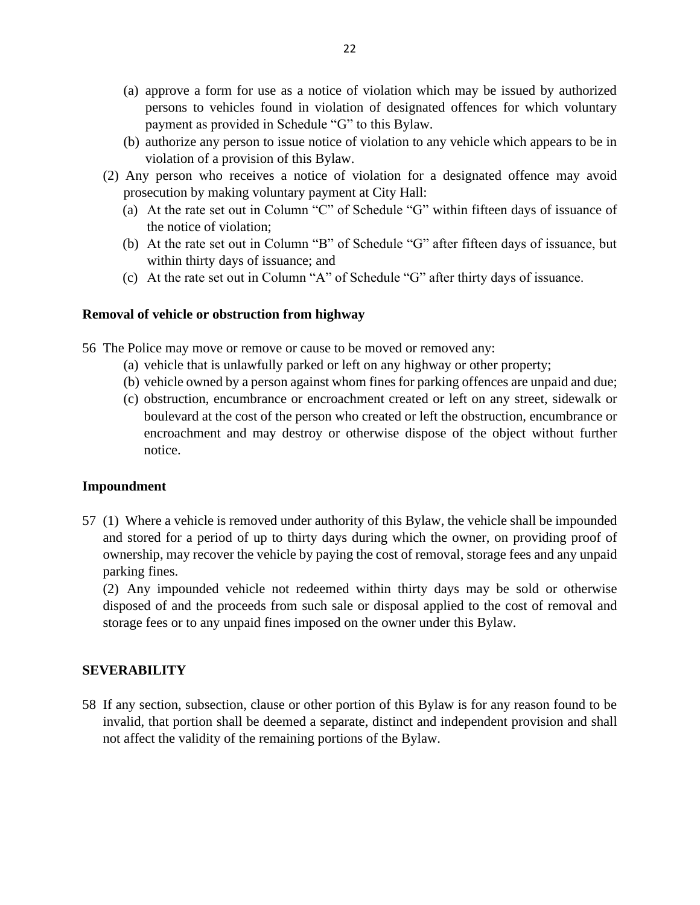- (a) approve a form for use as a notice of violation which may be issued by authorized persons to vehicles found in violation of designated offences for which voluntary payment as provided in Schedule "G" to this Bylaw.
- (b) authorize any person to issue notice of violation to any vehicle which appears to be in violation of a provision of this Bylaw.
- (2) Any person who receives a notice of violation for a designated offence may avoid prosecution by making voluntary payment at City Hall:
	- (a) At the rate set out in Column "C" of Schedule "G" within fifteen days of issuance of the notice of violation;
	- (b) At the rate set out in Column "B" of Schedule "G" after fifteen days of issuance, but within thirty days of issuance; and
	- (c) At the rate set out in Column "A" of Schedule "G" after thirty days of issuance.

#### <span id="page-21-0"></span>**Removal of vehicle or obstruction from highway**

56 The Police may move or remove or cause to be moved or removed any:

- (a) vehicle that is unlawfully parked or left on any highway or other property;
- (b) vehicle owned by a person against whom fines for parking offences are unpaid and due;
- (c) obstruction, encumbrance or encroachment created or left on any street, sidewalk or boulevard at the cost of the person who created or left the obstruction, encumbrance or encroachment and may destroy or otherwise dispose of the object without further notice.

#### <span id="page-21-1"></span>**Impoundment**

57 (1) Where a vehicle is removed under authority of this Bylaw, the vehicle shall be impounded and stored for a period of up to thirty days during which the owner, on providing proof of ownership, may recover the vehicle by paying the cost of removal, storage fees and any unpaid parking fines.

(2) Any impounded vehicle not redeemed within thirty days may be sold or otherwise disposed of and the proceeds from such sale or disposal applied to the cost of removal and storage fees or to any unpaid fines imposed on the owner under this Bylaw.

#### <span id="page-21-2"></span>**SEVERABILITY**

58 If any section, subsection, clause or other portion of this Bylaw is for any reason found to be invalid, that portion shall be deemed a separate, distinct and independent provision and shall not affect the validity of the remaining portions of the Bylaw.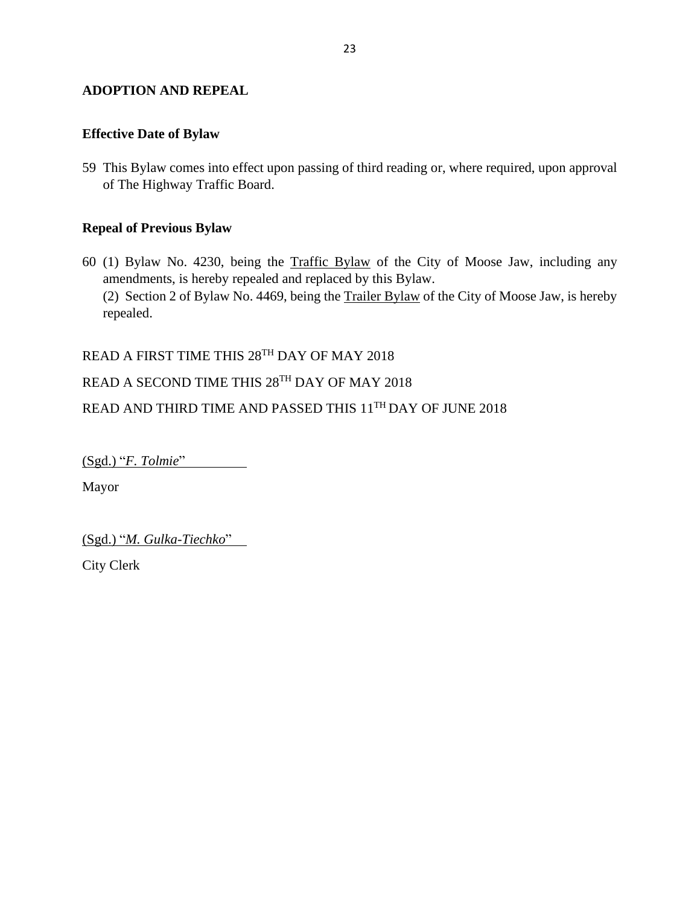#### <span id="page-22-0"></span>**ADOPTION AND REPEAL**

#### <span id="page-22-1"></span>**Effective Date of Bylaw**

59 This Bylaw comes into effect upon passing of third reading or, where required, upon approval of The Highway Traffic Board.

#### <span id="page-22-2"></span>**Repeal of Previous Bylaw**

60 (1) Bylaw No. 4230, being the Traffic Bylaw of the City of Moose Jaw, including any amendments, is hereby repealed and replaced by this Bylaw. (2) Section 2 of Bylaw No. 4469, being the Trailer Bylaw of the City of Moose Jaw, is hereby repealed.

READ A FIRST TIME THIS 28<sup>TH</sup> DAY OF MAY 2018

#### READ A SECOND TIME THIS 28TH DAY OF MAY 2018

READ AND THIRD TIME AND PASSED THIS 11TH DAY OF JUNE 2018

(Sgd.) "*F. Tolmie*"

Mayor

(Sgd.) "*M. Gulka-Tiechko*"

City Clerk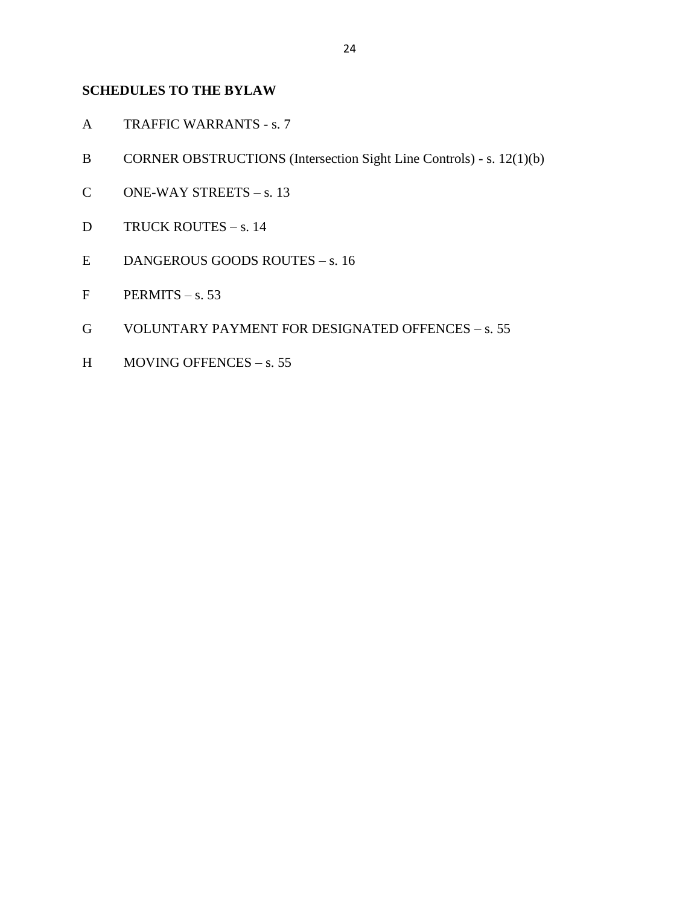#### <span id="page-23-0"></span>**SCHEDULES TO THE BYLAW**

- A TRAFFIC WARRANTS s. 7
- B CORNER OBSTRUCTIONS (Intersection Sight Line Controls) s. 12(1)(b)
- C ONE-WAY STREETS s. 13
- D TRUCK ROUTES s. 14
- E DANGEROUS GOODS ROUTES s. 16
- $F$  PERMITS s. 53
- G VOLUNTARY PAYMENT FOR DESIGNATED OFFENCES s. 55
- H MOVING OFFENCES s. 55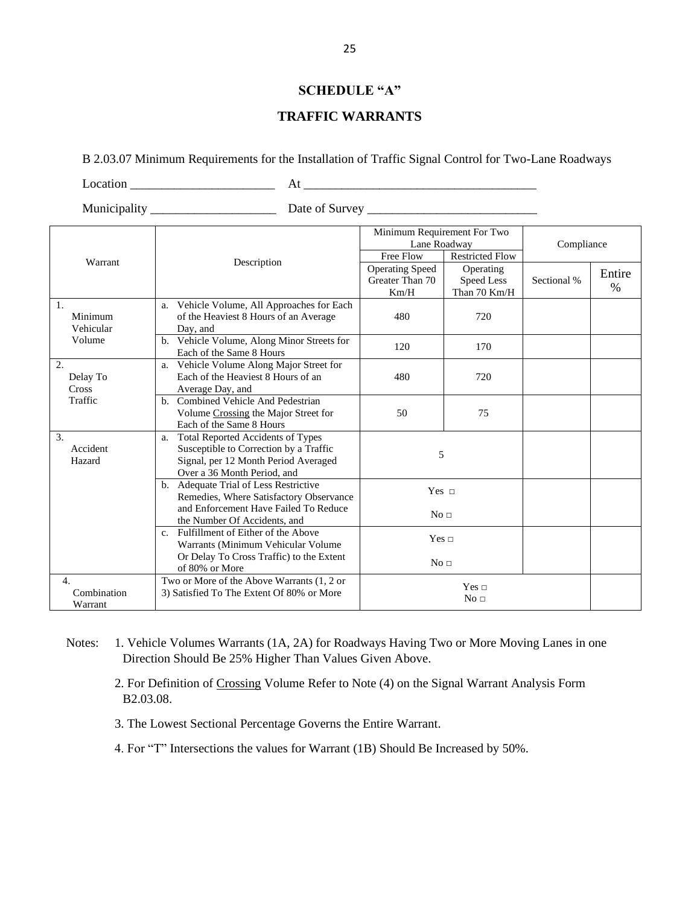#### **SCHEDULE "A"**

#### **TRAFFIC WARRANTS**

#### <span id="page-24-0"></span>B 2.03.07 Minimum Requirements for the Installation of Traffic Signal Control for Two-Lane Roadways

 $Location$   $At$   $\overline{\phantom{a}}$   $At$   $\overline{\phantom{a}}$ 

Municipality \_\_\_\_\_\_\_\_\_\_\_\_\_\_\_\_\_\_\_\_ Date of Survey \_\_\_\_\_\_\_\_\_\_\_\_\_\_\_\_\_\_\_\_\_\_\_\_\_\_\_

|                                            |                                                                                                                                                          | Minimum Requirement For Two<br>Lane Roadway<br>Free Flow | <b>Restricted Flow</b>                  | Compliance  |                |  |
|--------------------------------------------|----------------------------------------------------------------------------------------------------------------------------------------------------------|----------------------------------------------------------|-----------------------------------------|-------------|----------------|--|
| Warrant                                    | Description                                                                                                                                              | <b>Operating Speed</b><br>Greater Than 70<br>Km/H        | Operating<br>Speed Less<br>Than 70 Km/H | Sectional % | Entire<br>$\%$ |  |
| 1.<br>Minimum<br>Vehicular                 | Vehicle Volume, All Approaches for Each<br>a.<br>of the Heaviest 8 Hours of an Average<br>Day, and                                                       | 480                                                      | 720                                     |             |                |  |
| Volume                                     | b. Vehicle Volume, Along Minor Streets for<br>Each of the Same 8 Hours                                                                                   | 120                                                      | 170                                     |             |                |  |
| 2.<br>Delay To<br>Cross                    | a. Vehicle Volume Along Major Street for<br>Each of the Heaviest 8 Hours of an<br>Average Day, and                                                       | 480                                                      | 720                                     |             |                |  |
| Traffic                                    | b. Combined Vehicle And Pedestrian<br>Volume Crossing the Major Street for<br>Each of the Same 8 Hours                                                   | 50                                                       | 75                                      |             |                |  |
| 3.<br>Accident<br>Hazard                   | Total Reported Accidents of Types<br>a.<br>Susceptible to Correction by a Traffic<br>Signal, per 12 Month Period Averaged<br>Over a 36 Month Period, and | 5                                                        |                                         |             |                |  |
|                                            | b. Adequate Trial of Less Restrictive<br>Remedies, Where Satisfactory Observance<br>and Enforcement Have Failed To Reduce                                | Yes $\sqcap$                                             |                                         |             |                |  |
|                                            | the Number Of Accidents, and<br>c. Fulfillment of Either of the Above                                                                                    | No <sub>1</sub><br>Yes $\sqcap$                          |                                         |             |                |  |
|                                            | Warrants (Minimum Vehicular Volume<br>Or Delay To Cross Traffic) to the Extent<br>of 80% or More                                                         | No <sub>1</sub>                                          |                                         |             |                |  |
| $\overline{4}$ .<br>Combination<br>Warrant | Two or More of the Above Warrants (1, 2 or<br>3) Satisfied To The Extent Of 80% or More                                                                  |                                                          | Yes $\Box$<br>No <sub>1</sub>           |             |                |  |

Notes: 1. Vehicle Volumes Warrants (1A, 2A) for Roadways Having Two or More Moving Lanes in one Direction Should Be 25% Higher Than Values Given Above.

2. For Definition of Crossing Volume Refer to Note (4) on the Signal Warrant Analysis Form B2.03.08.

3. The Lowest Sectional Percentage Governs the Entire Warrant.

4. For "T" Intersections the values for Warrant (1B) Should Be Increased by 50%.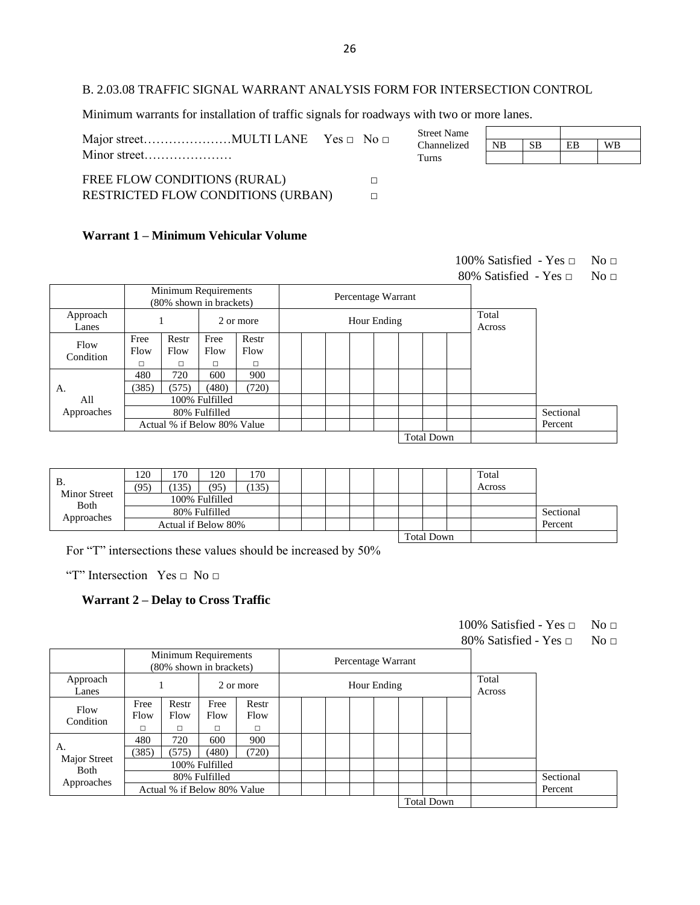#### B. 2.03.08 TRAFFIC SIGNAL WARRANT ANALYSIS FORM FOR INTERSECTION CONTROL

Minimum warrants for installation of traffic signals for roadways with two or more lanes.

|                                           | <b>Street Name</b> |           |           |    |           |
|-------------------------------------------|--------------------|-----------|-----------|----|-----------|
|                                           | Channelized        | <b>NB</b> | <b>SB</b> | EB | <b>WB</b> |
| Minor street                              | Turns              |           |           |    |           |
|                                           |                    |           |           |    |           |
| FREE FLOW CONDITIONS (RURAL)              |                    |           |           |    |           |
| <b>RESTRICTED FLOW CONDITIONS (URBAN)</b> |                    |           |           |    |           |

 $\Gamma$ 

#### **Warrant 1 – Minimum Vehicular Volume**

|                   |              |                    |                                                 |               |  |                    |  |                   | 100% Satisfied - Yes $\Box$ |           | No <sub>□</sub> |
|-------------------|--------------|--------------------|-------------------------------------------------|---------------|--|--------------------|--|-------------------|-----------------------------|-----------|-----------------|
|                   |              |                    |                                                 |               |  |                    |  |                   | 80% Satisfied - Yes $\Box$  |           | No <sub>□</sub> |
|                   |              |                    | Minimum Requirements<br>(80% shown in brackets) |               |  | Percentage Warrant |  |                   |                             |           |                 |
| Approach<br>Lanes |              |                    |                                                 | 2 or more     |  | Hour Ending        |  |                   | Total<br>Across             |           |                 |
| Flow<br>Condition | Free<br>Flow | Restr<br>Flow<br>п | Free<br>Flow                                    | Restr<br>Flow |  |                    |  |                   |                             |           |                 |
|                   | □<br>480     | 720                | п<br>600                                        | □<br>900      |  |                    |  |                   |                             |           |                 |
| А.                | (385)        | (575)              | (480)                                           | (720)         |  |                    |  |                   |                             |           |                 |
| All               |              |                    | 100% Fulfilled                                  |               |  |                    |  |                   |                             |           |                 |
| Approaches        |              |                    | 80% Fulfilled                                   |               |  |                    |  |                   |                             | Sectional |                 |
|                   |              |                    | Actual % if Below 80% Value                     |               |  |                    |  |                   |                             | Percent   |                 |
|                   |              |                    |                                                 |               |  |                    |  | <b>Total Down</b> |                             |           |                 |

| B.                          | 120<br>(95) | 170<br>135)         | 120<br>(95)    | 170<br>135) |  |  |  |                   | Total<br>Across |           |
|-----------------------------|-------------|---------------------|----------------|-------------|--|--|--|-------------------|-----------------|-----------|
| <b>Minor Street</b><br>Both |             |                     | 100% Fulfilled |             |  |  |  |                   |                 |           |
| Approaches                  |             |                     | 80% Fulfilled  |             |  |  |  |                   |                 | Sectional |
|                             |             | Actual if Below 80% |                |             |  |  |  |                   |                 | Percent   |
|                             |             |                     |                |             |  |  |  | <b>Total Down</b> |                 |           |

For "T" intersections these values should be increased by 50%

"T" Intersection Yes □ No □

#### **Warrant 2 – Delay to Cross Traffic**

| 100% Satisfied - Yes $\Box$ | No <sub>□</sub> |
|-----------------------------|-----------------|
|                             |                 |

80% Satisfied - Yes □ No □

٦

|                             |                   |               | Minimum Requirements<br>(80% shown in brackets) |                         |  |  | Percentage Warrant |                   |                 |           |
|-----------------------------|-------------------|---------------|-------------------------------------------------|-------------------------|--|--|--------------------|-------------------|-----------------|-----------|
| Approach<br>Lanes           |                   |               |                                                 | 2 or more               |  |  | Hour Ending        |                   | Total<br>Across |           |
| Flow<br>Condition           | Free<br>Flow<br>□ | Restr<br>Flow | Free<br>Flow<br>□                               | Restr<br>Flow<br>$\Box$ |  |  |                    |                   |                 |           |
|                             | 480               | 720           | 600                                             | 900                     |  |  |                    |                   |                 |           |
| А.                          | (385)             | (575)         | (480)                                           | (720)                   |  |  |                    |                   |                 |           |
| Major Street<br><b>Both</b> |                   |               | 100% Fulfilled                                  |                         |  |  |                    |                   |                 |           |
| Approaches                  |                   |               | 80% Fulfilled                                   |                         |  |  |                    |                   |                 | Sectional |
|                             |                   |               | Actual % if Below 80% Value                     |                         |  |  |                    |                   |                 | Percent   |
|                             |                   |               |                                                 |                         |  |  |                    | <b>Total Down</b> |                 |           |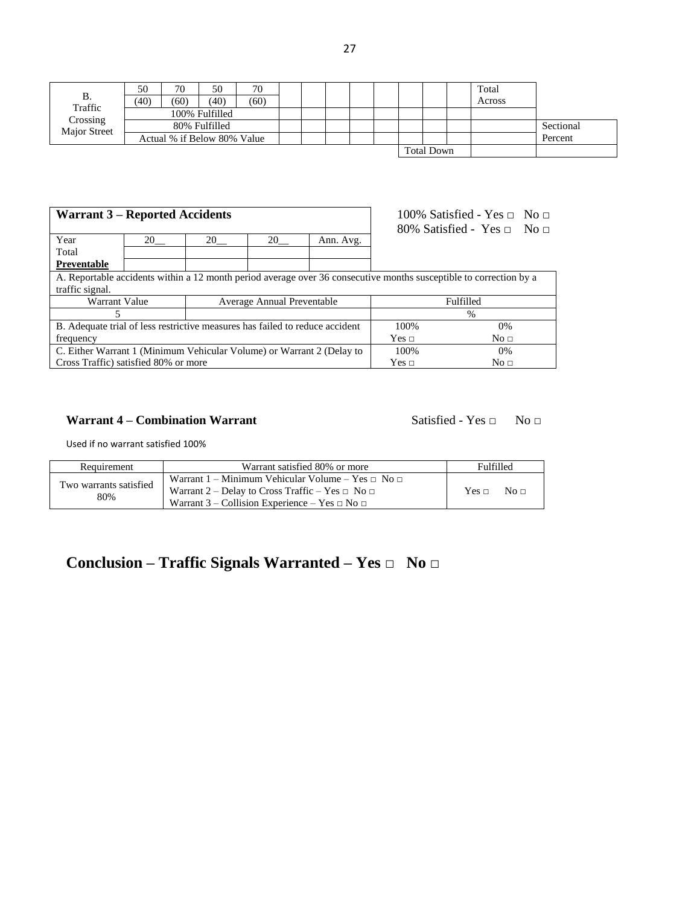|  | . .<br> |
|--|---------|
|--|---------|

| <b>B.</b>           | 50<br>(40) | 70<br>(60) | 50<br>(40)                                   | 70<br>(60) |  |  |  |                   | Total<br>Across |                      |
|---------------------|------------|------------|----------------------------------------------|------------|--|--|--|-------------------|-----------------|----------------------|
| Traffic<br>Crossing |            |            | 100% Fulfilled                               |            |  |  |  |                   |                 |                      |
| Major Street        |            |            | 80% Fulfilled<br>Actual % if Below 80% Value |            |  |  |  |                   |                 | Sectional<br>Percent |
|                     |            |            |                                              |            |  |  |  | <b>Total Down</b> |                 |                      |

| <b>Warrant 3 – Reported Accidents</b>                                                                              |    | 100% Satisfied - Yes $\Box$ No $\Box$ |    |           |              |                                      |
|--------------------------------------------------------------------------------------------------------------------|----|---------------------------------------|----|-----------|--------------|--------------------------------------|
| Year                                                                                                               | 20 | 20                                    | 20 | Ann. Avg. |              | 80% Satisfied - Yes $\Box$ No $\Box$ |
|                                                                                                                    |    |                                       |    |           |              |                                      |
| Total                                                                                                              |    |                                       |    |           |              |                                      |
| Preventable                                                                                                        |    |                                       |    |           |              |                                      |
| A. Reportable accidents within a 12 month period average over 36 consecutive months susceptible to correction by a |    |                                       |    |           |              |                                      |
| traffic signal.                                                                                                    |    |                                       |    |           |              |                                      |
| <b>Warrant Value</b><br>Average Annual Preventable                                                                 |    |                                       |    | Fulfilled |              |                                      |
|                                                                                                                    |    |                                       |    |           |              | $\frac{0}{0}$                        |
| B. Adequate trial of less restrictive measures has failed to reduce accident                                       |    |                                       |    |           | 100%         | $0\%$                                |
| frequency                                                                                                          |    |                                       |    |           | Yes $\sqcap$ | No <sub>□</sub>                      |
| C. Either Warrant 1 (Minimum Vehicular Volume) or Warrant 2 (Delay to                                              |    |                                       |    | 100%      | $0\%$        |                                      |
| Cross Traffic) satisfied 80% or more                                                                               |    |                                       |    |           | Yes $\sqcap$ | No $\Box$                            |

#### **Warrant 4 – Combination Warrant** Satisfied - Yes □ No □

Used if no warrant satisfied 100%

| Requirement                   | Warrant satisfied 80% or more                                                                                                                                                       | <b>Fulfilled</b>          |
|-------------------------------|-------------------------------------------------------------------------------------------------------------------------------------------------------------------------------------|---------------------------|
| Two warrants satisfied<br>80% | Warrant 1 – Minimum Vehicular Volume – Yes $\Box$ No $\Box$<br>Warrant 2 – Delay to Cross Traffic – Yes $\Box$ No $\Box$<br>Warrant 3 – Collision Experience – Yes $\Box$ No $\Box$ | Yes $\sqcap$<br>No $\Box$ |

## **Conclusion – Traffic Signals Warranted – Yes □ No □**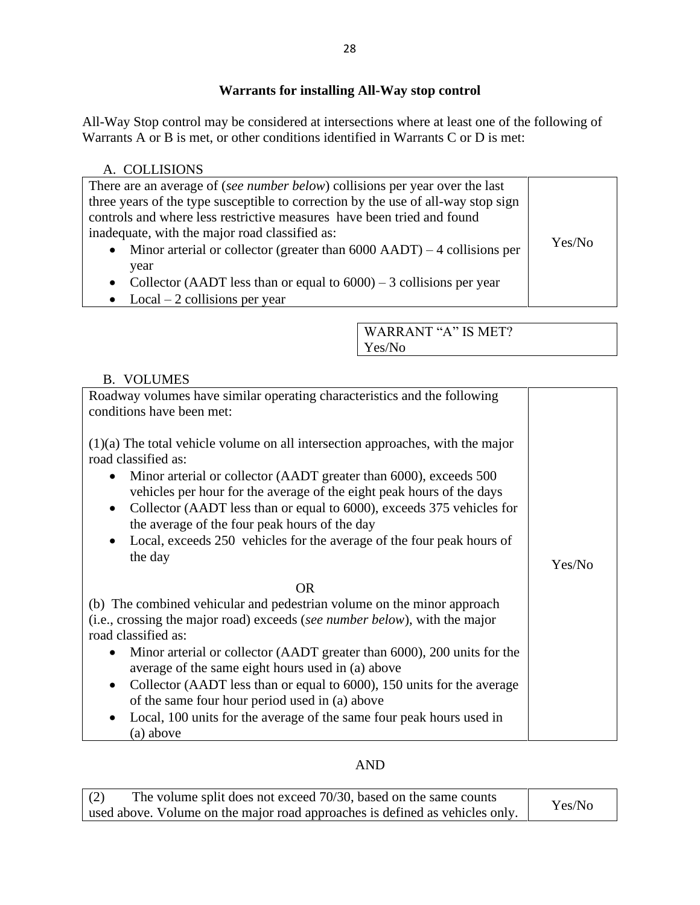#### **Warrants for installing All-Way stop control**

All-Way Stop control may be considered at intersections where at least one of the following of Warrants A or B is met, or other conditions identified in Warrants C or D is met:

| A. COLLISIONS                                                                                                                                                                                                                                                                                                                                                                                    |        |
|--------------------------------------------------------------------------------------------------------------------------------------------------------------------------------------------------------------------------------------------------------------------------------------------------------------------------------------------------------------------------------------------------|--------|
| There are an average of (see number below) collisions per year over the last<br>three years of the type susceptible to correction by the use of all-way stop sign<br>controls and where less restrictive measures have been tried and found<br>inadequate, with the major road classified as:<br>Minor arterial or collector (greater than $6000$ AADT) $-4$ collisions per<br>$\bullet$<br>year | Yes/No |
| Collector (AADT less than or equal to $6000 - 3$ collisions per year<br>$\bullet$                                                                                                                                                                                                                                                                                                                |        |

• Local  $-2$  collisions per year

WARRANT "A" IS MET? Yes/No

#### B. VOLUMES

| Roadway volumes have similar operating characteristics and the following<br>conditions have been met:                                                                                                                                                                                                                                                                                                                                                                                                                               |        |
|-------------------------------------------------------------------------------------------------------------------------------------------------------------------------------------------------------------------------------------------------------------------------------------------------------------------------------------------------------------------------------------------------------------------------------------------------------------------------------------------------------------------------------------|--------|
| $(1)(a)$ The total vehicle volume on all intersection approaches, with the major<br>road classified as:<br>Minor arterial or collector (AADT greater than 6000), exceeds 500<br>vehicles per hour for the average of the eight peak hours of the days<br>Collector (AADT less than or equal to 6000), exceeds 375 vehicles for<br>$\bullet$<br>the average of the four peak hours of the day<br>Local, exceeds 250 vehicles for the average of the four peak hours of                                                               |        |
| the day                                                                                                                                                                                                                                                                                                                                                                                                                                                                                                                             | Yes/No |
| OR.<br>(b) The combined vehicular and pedestrian volume on the minor approach<br>(i.e., crossing the major road) exceeds (see number below), with the major<br>road classified as:<br>Minor arterial or collector (AADT greater than 6000), 200 units for the<br>average of the same eight hours used in (a) above<br>Collector (AADT less than or equal to 6000), 150 units for the average<br>of the same four hour period used in (a) above<br>Local, 100 units for the average of the same four peak hours used in<br>(a) above |        |

#### AND

| The volume split does not exceed 70/30, based on the same counts<br>(2)      | Yes/No |
|------------------------------------------------------------------------------|--------|
| used above. Volume on the major road approaches is defined as vehicles only. |        |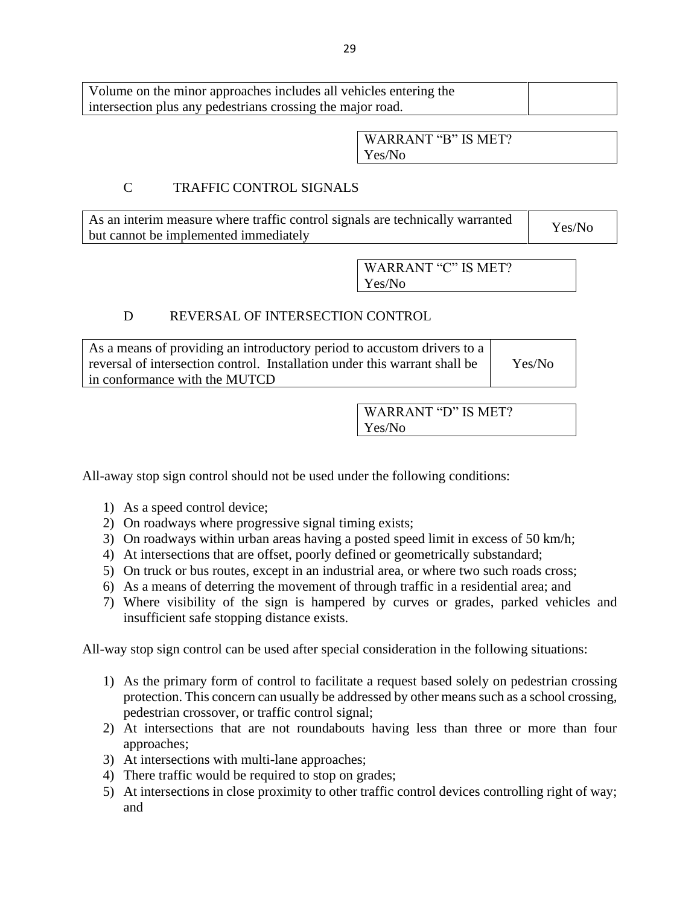| Volume on the minor approaches includes all vehicles entering the |  |
|-------------------------------------------------------------------|--|
| intersection plus any pedestrians crossing the major road.        |  |

WARRANT "B" IS MET? Yes/No

#### C TRAFFIC CONTROL SIGNALS

As an interim measure where traffic control signals are technically warranted but cannot be implemented immediately <br>but cannot be implemented immediately

> WARRANT "C" IS MET? Yes/No

#### D REVERSAL OF INTERSECTION CONTROL

| As a means of providing an introductory period to accustom drivers to a    |        |
|----------------------------------------------------------------------------|--------|
| reversal of intersection control. Installation under this warrant shall be | Yes/No |
| in conformance with the MUTCD                                              |        |

WARRANT "D" IS MET? Yes/No

All-away stop sign control should not be used under the following conditions:

- 1) As a speed control device;
- 2) On roadways where progressive signal timing exists;
- 3) On roadways within urban areas having a posted speed limit in excess of 50 km/h;
- 4) At intersections that are offset, poorly defined or geometrically substandard;
- 5) On truck or bus routes, except in an industrial area, or where two such roads cross;
- 6) As a means of deterring the movement of through traffic in a residential area; and
- 7) Where visibility of the sign is hampered by curves or grades, parked vehicles and insufficient safe stopping distance exists.

All-way stop sign control can be used after special consideration in the following situations:

- 1) As the primary form of control to facilitate a request based solely on pedestrian crossing protection. This concern can usually be addressed by other means such as a school crossing, pedestrian crossover, or traffic control signal;
- 2) At intersections that are not roundabouts having less than three or more than four approaches;
- 3) At intersections with multi-lane approaches;
- 4) There traffic would be required to stop on grades;
- 5) At intersections in close proximity to other traffic control devices controlling right of way; and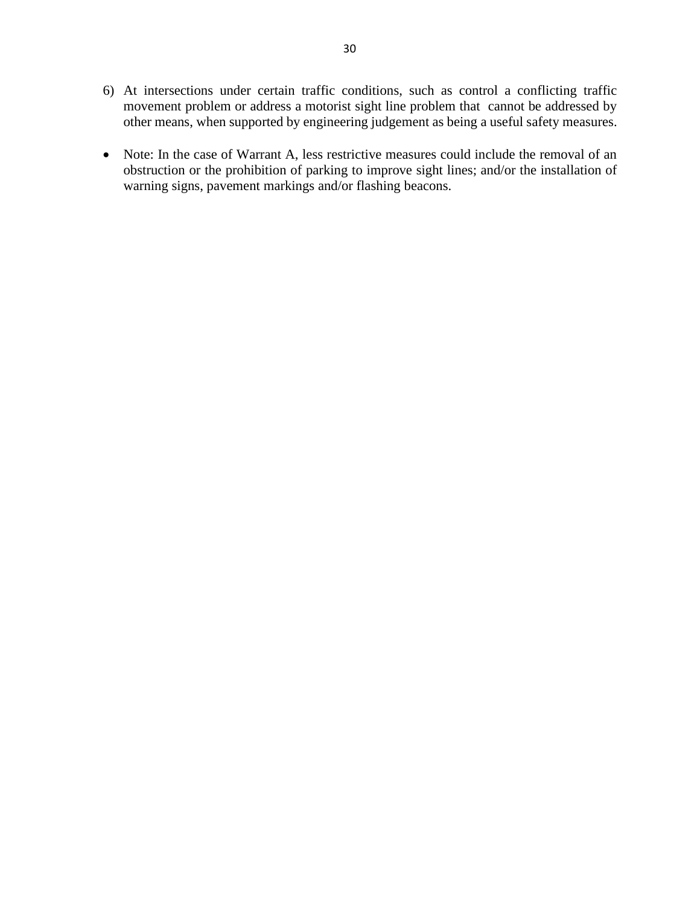- 6) At intersections under certain traffic conditions, such as control a conflicting traffic movement problem or address a motorist sight line problem that cannot be addressed by other means, when supported by engineering judgement as being a useful safety measures.
- Note: In the case of Warrant A, less restrictive measures could include the removal of an obstruction or the prohibition of parking to improve sight lines; and/or the installation of warning signs, pavement markings and/or flashing beacons.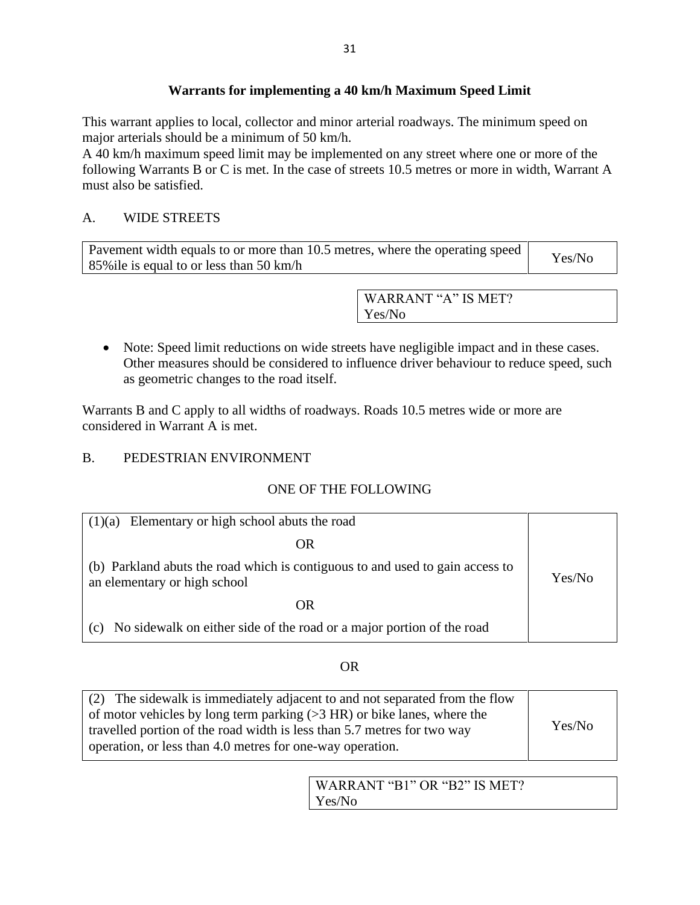#### **Warrants for implementing a 40 km/h Maximum Speed Limit**

This warrant applies to local, collector and minor arterial roadways. The minimum speed on major arterials should be a minimum of 50 km/h.

A 40 km/h maximum speed limit may be implemented on any street where one or more of the following Warrants B or C is met. In the case of streets 10.5 metres or more in width, Warrant A must also be satisfied.

#### A. WIDE STREETS

| Pavement width equals to or more than 10.5 metres, where the operating speed | Yes/No |
|------------------------------------------------------------------------------|--------|
| 85% ile is equal to or less than 50 km/h                                     |        |

WARRANT "A" IS MET? Yes/No

• Note: Speed limit reductions on wide streets have negligible impact and in these cases. Other measures should be considered to influence driver behaviour to reduce speed, such as geometric changes to the road itself.

Warrants B and C apply to all widths of roadways. Roads 10.5 metres wide or more are considered in Warrant A is met.

#### B. PEDESTRIAN ENVIRONMENT

#### ONE OF THE FOLLOWING

| Elementary or high school abuts the road<br>(1)(a)                                                            |        |
|---------------------------------------------------------------------------------------------------------------|--------|
| OR                                                                                                            |        |
| (b) Parkland abuts the road which is contiguous to and used to gain access to<br>an elementary or high school | Yes/No |
| OR                                                                                                            |        |
| No sidewalk on either side of the road or a major portion of the road<br>$\left( c \right)$                   |        |

#### OR

| (2) The sidewalk is immediately adjacent to and not separated from the flow<br>of motor vehicles by long term parking $(>3$ HR) or bike lanes, where the |        |
|----------------------------------------------------------------------------------------------------------------------------------------------------------|--------|
| travelled portion of the road width is less than 5.7 metres for two way                                                                                  | Yes/No |
| operation, or less than 4.0 metres for one-way operation.                                                                                                |        |

| WARRANT "B1" OR "B2" IS MET? |  |
|------------------------------|--|
| Yes/No                       |  |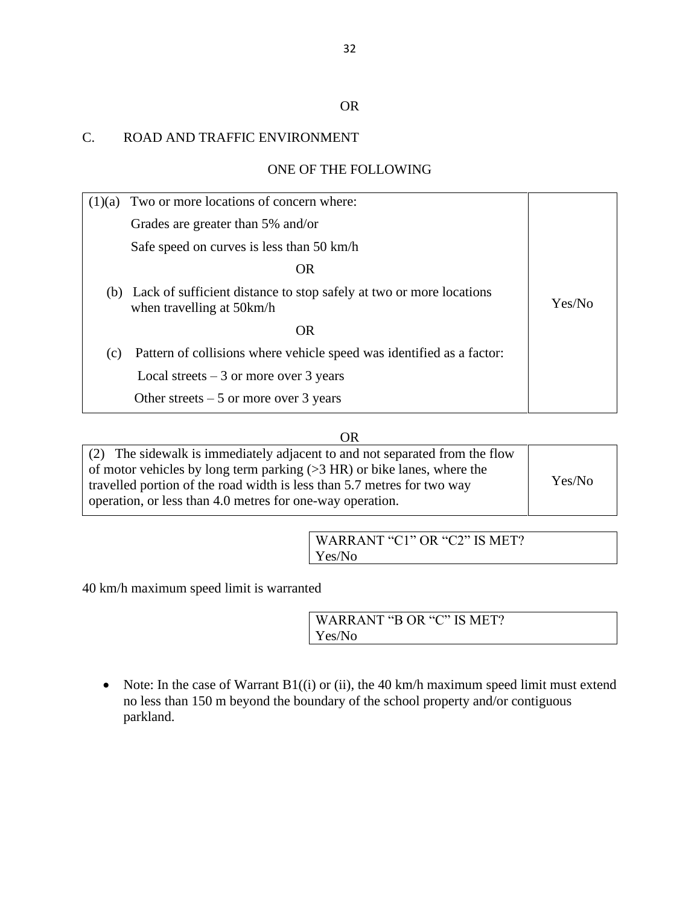#### OR

#### C. ROAD AND TRAFFIC ENVIRONMENT

#### ONE OF THE FOLLOWING

| (1)(a) | Two or more locations of concern where:                                                              |        |
|--------|------------------------------------------------------------------------------------------------------|--------|
|        | Grades are greater than 5% and/or                                                                    |        |
|        | Safe speed on curves is less than 50 km/h                                                            |        |
|        | <b>OR</b>                                                                                            |        |
|        | (b) Lack of sufficient distance to stop safely at two or more locations<br>when travelling at 50km/h | Yes/No |
|        | OR                                                                                                   |        |
| (c)    | Pattern of collisions where vehicle speed was identified as a factor:                                |        |
|        | Local streets $-3$ or more over 3 years                                                              |        |
|        | Other streets $-5$ or more over 3 years                                                              |        |

#### OR

| (2) The sidewalk is immediately adjacent to and not separated from the flow |        |
|-----------------------------------------------------------------------------|--------|
| of motor vehicles by long term parking $(>3$ HR) or bike lanes, where the   |        |
| travelled portion of the road width is less than 5.7 metres for two way     | Yes/No |
| operation, or less than 4.0 metres for one-way operation.                   |        |

WARRANT "C1" OR "C2" IS MET? Yes/No

40 km/h maximum speed limit is warranted

WARRANT "B OR "C" IS MET? Yes/No

• Note: In the case of Warrant B1((i) or (ii), the 40 km/h maximum speed limit must extend no less than 150 m beyond the boundary of the school property and/or contiguous parkland.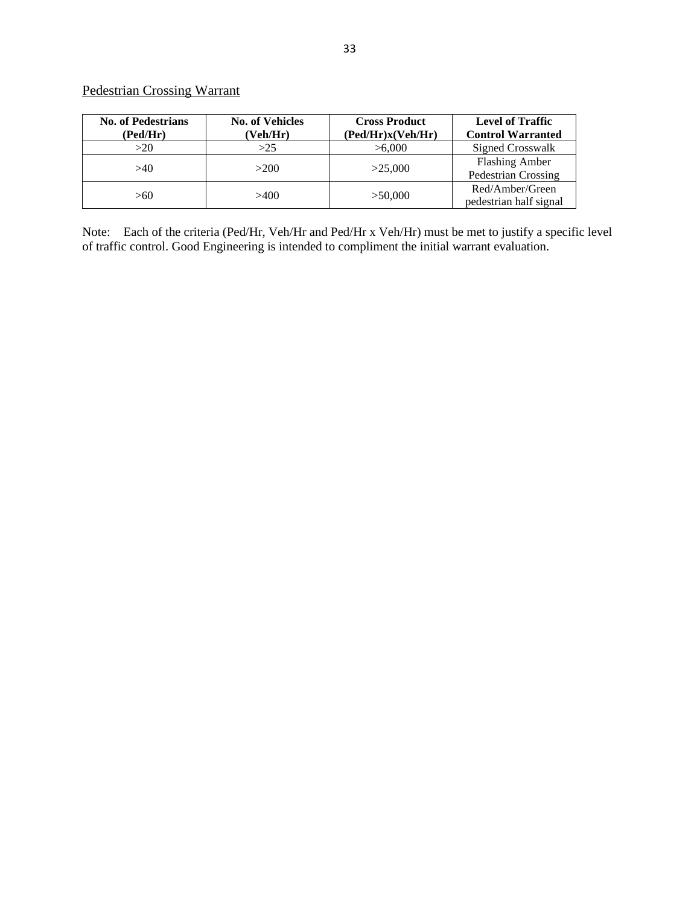#### Pedestrian Crossing Warrant

| <b>No. of Pedestrians</b><br>(Ped/Hr) | <b>No. of Vehicles</b><br>(Veh/Hr) | <b>Cross Product</b><br>(Ped/Hr)x(Veh/Hr) | <b>Level of Traffic</b><br><b>Control Warranted</b> |
|---------------------------------------|------------------------------------|-------------------------------------------|-----------------------------------------------------|
| >20                                   | >25                                | >6,000                                    | <b>Signed Crosswalk</b>                             |
| >40                                   | >200                               | >25,000                                   | <b>Flashing Amber</b><br>Pedestrian Crossing        |
| >60                                   | >400                               | >50,000                                   | Red/Amber/Green<br>pedestrian half signal           |

Note: Each of the criteria (Ped/Hr, Veh/Hr and Ped/Hr x Veh/Hr) must be met to justify a specific level of traffic control. Good Engineering is intended to compliment the initial warrant evaluation.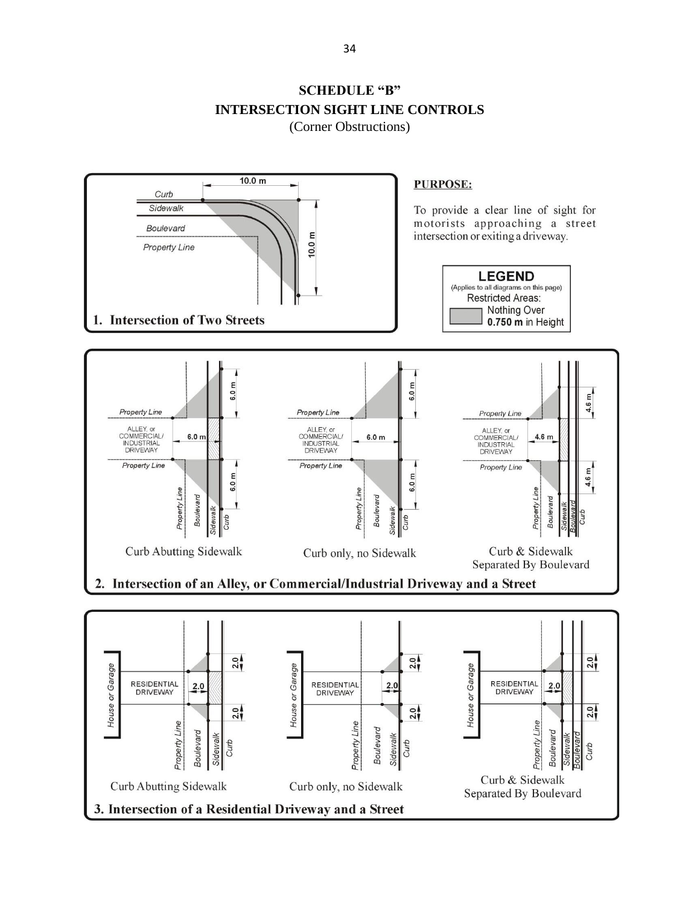



<span id="page-33-0"></span>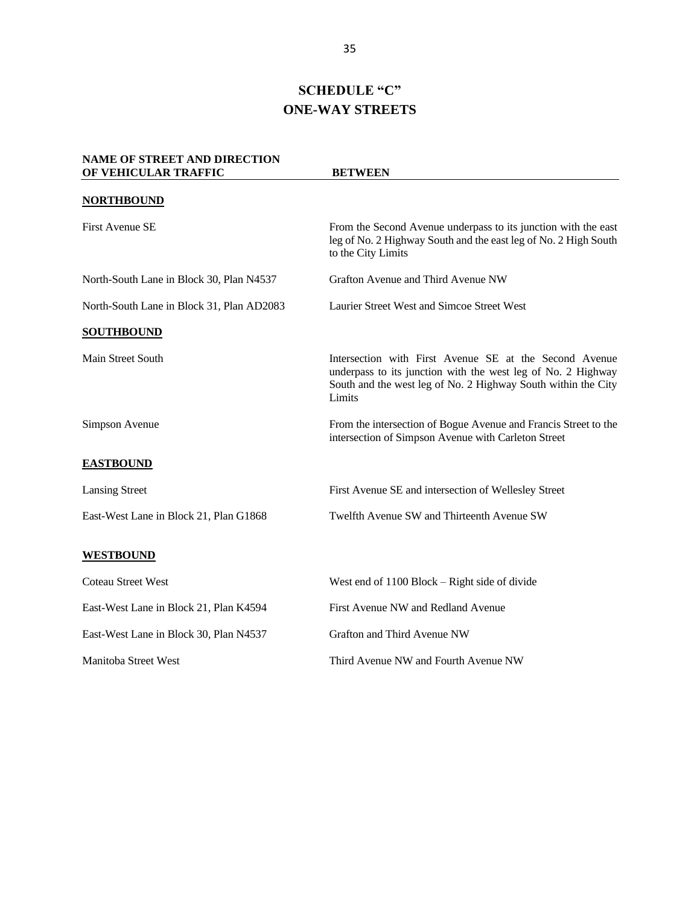## **SCHEDULE "C" ONE-WAY STREETS**

<span id="page-34-0"></span>

| <b>NAME OF STREET AND DIRECTION</b>       |                                                                                                                                                                                                   |
|-------------------------------------------|---------------------------------------------------------------------------------------------------------------------------------------------------------------------------------------------------|
| OF VEHICULAR TRAFFIC                      | <b>BETWEEN</b>                                                                                                                                                                                    |
| <b>NORTHBOUND</b>                         |                                                                                                                                                                                                   |
| <b>First Avenue SE</b>                    | From the Second Avenue underpass to its junction with the east<br>leg of No. 2 Highway South and the east leg of No. 2 High South<br>to the City Limits                                           |
| North-South Lane in Block 30, Plan N4537  | Grafton Avenue and Third Avenue NW                                                                                                                                                                |
| North-South Lane in Block 31, Plan AD2083 | Laurier Street West and Simcoe Street West                                                                                                                                                        |
| <b>SOUTHBOUND</b>                         |                                                                                                                                                                                                   |
| Main Street South                         | Intersection with First Avenue SE at the Second Avenue<br>underpass to its junction with the west leg of No. 2 Highway<br>South and the west leg of No. 2 Highway South within the City<br>Limits |
| Simpson Avenue                            | From the intersection of Bogue Avenue and Francis Street to the<br>intersection of Simpson Avenue with Carleton Street                                                                            |
| <b>EASTBOUND</b>                          |                                                                                                                                                                                                   |
| <b>Lansing Street</b>                     | First Avenue SE and intersection of Wellesley Street                                                                                                                                              |
| East-West Lane in Block 21, Plan G1868    | Twelfth Avenue SW and Thirteenth Avenue SW                                                                                                                                                        |
| <b>WESTBOUND</b>                          |                                                                                                                                                                                                   |
| <b>Coteau Street West</b>                 | West end of $1100$ Block – Right side of divide                                                                                                                                                   |
| East-West Lane in Block 21, Plan K4594    | First Avenue NW and Redland Avenue                                                                                                                                                                |
| East-West Lane in Block 30, Plan N4537    | Grafton and Third Avenue NW                                                                                                                                                                       |
| <b>Manitoba Street West</b>               | Third Avenue NW and Fourth Avenue NW                                                                                                                                                              |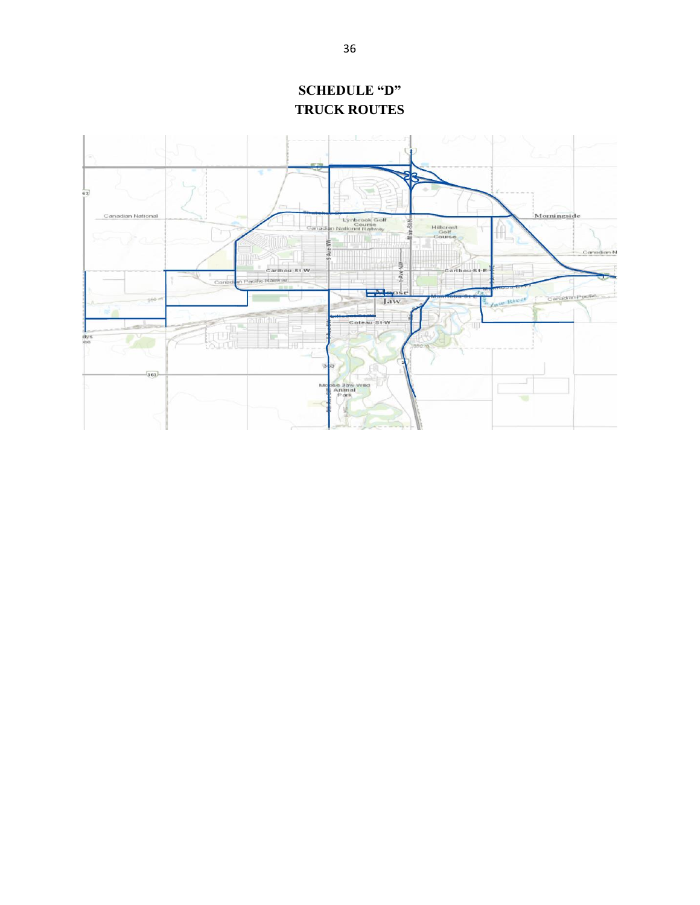<span id="page-35-0"></span>

**SCHEDULE "D" TRUCK ROUTES**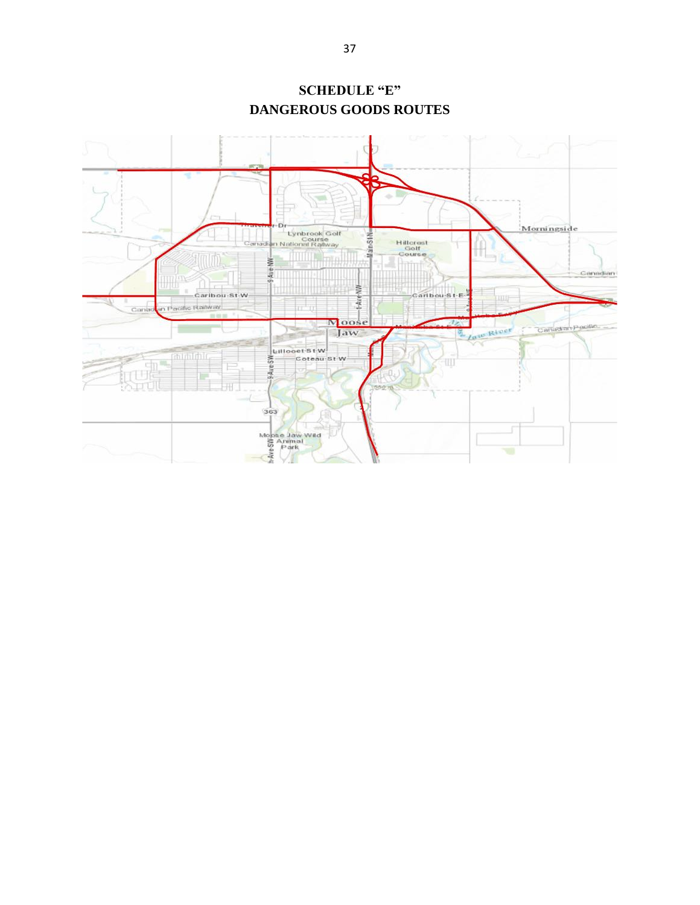<span id="page-36-0"></span>

**SCHEDULE "E" DANGEROUS GOODS ROUTES**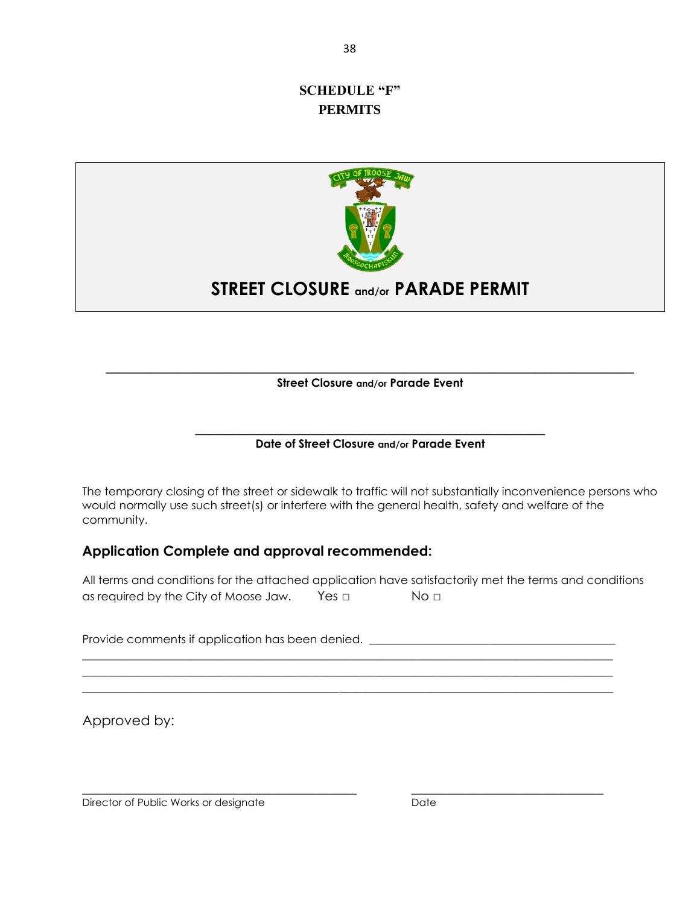#### <span id="page-37-0"></span>**SCHEDULE "F" PERMITS**



## **STREET CLOSURE and/or PARADE PERMIT**

**\_\_\_\_\_\_\_\_\_\_\_\_\_\_\_\_\_\_\_\_\_\_\_\_\_\_\_\_\_\_\_\_\_\_\_\_\_\_\_\_\_\_\_\_\_\_\_\_\_\_\_\_\_\_\_\_\_\_\_\_\_\_\_\_\_\_\_\_\_\_\_\_\_\_\_\_\_ Street Closure and/or Parade Event**

#### **\_\_\_\_\_\_\_\_\_\_\_\_\_\_\_\_\_\_\_\_\_\_\_\_\_\_\_\_\_\_\_\_\_\_\_\_\_\_\_\_\_\_\_\_\_\_\_\_\_\_\_ Date of Street Closure and/or Parade Event**

The temporary closing of the street or sidewalk to traffic will not substantially inconvenience persons who would normally use such street(s) or interfere with the general health, safety and welfare of the community.

#### **Application Complete and approval recommended:**

All terms and conditions for the attached application have satisfactorily met the terms and conditions as required by the City of Moose Jaw. Yes □ No □

\_\_\_\_\_\_\_\_\_\_\_\_\_\_\_\_\_\_\_\_\_\_\_\_\_\_\_\_\_\_\_\_\_\_\_\_\_\_\_\_\_\_\_\_\_\_\_\_\_\_\_\_\_\_\_\_\_\_\_\_\_\_\_\_\_\_\_\_\_\_\_\_\_\_\_\_\_\_\_\_\_\_\_\_\_\_\_\_\_\_\_\_\_ \_\_\_\_\_\_\_\_\_\_\_\_\_\_\_\_\_\_\_\_\_\_\_\_\_\_\_\_\_\_\_\_\_\_\_\_\_\_\_\_\_\_\_\_\_\_\_\_\_\_\_\_\_\_\_\_\_\_\_\_\_\_\_\_\_\_\_\_\_\_\_\_\_\_\_\_\_\_\_\_\_\_\_\_\_\_\_\_\_\_\_\_\_ \_\_\_\_\_\_\_\_\_\_\_\_\_\_\_\_\_\_\_\_\_\_\_\_\_\_\_\_\_\_\_\_\_\_\_\_\_\_\_\_\_\_\_\_\_\_\_\_\_\_\_\_\_\_\_\_\_\_\_\_\_\_\_\_\_\_\_\_\_\_\_\_\_\_\_\_\_\_\_\_\_\_\_\_\_\_\_\_\_\_\_\_\_

Provide comments if application has been denied. \_\_\_\_\_\_\_\_\_\_\_\_\_\_\_\_\_\_\_\_\_\_\_\_\_\_\_\_\_\_\_

Approved by:

Director of Public Works or designate Date Date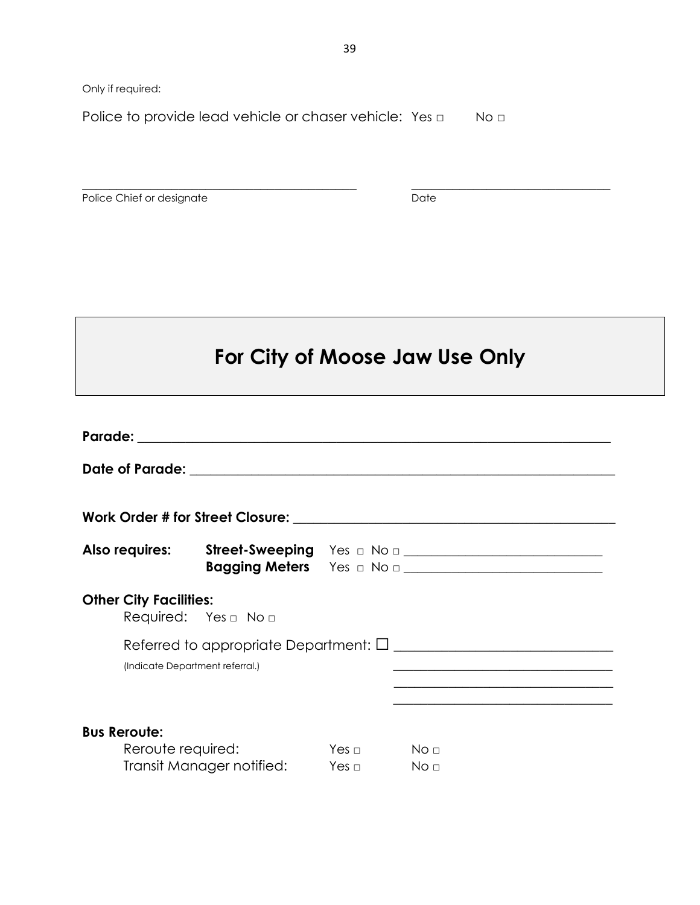Only if required:

Police to provide lead vehicle or chaser vehicle: Yes □ No □

Police Chief or designate Date Date

## **For City of Moose Jaw Use Only**

|                                                                                                | Bagging Meters Yes a No a <b>contract the September 2016</b>    |                      |  |  |  |  |  |
|------------------------------------------------------------------------------------------------|-----------------------------------------------------------------|----------------------|--|--|--|--|--|
|                                                                                                | <b>Other City Facilities:</b><br>Required: Yes $\Box$ No $\Box$ |                      |  |  |  |  |  |
| (Indicate Department referral.)<br><u> 1989 - Johann Stoff, amerikansk politiker (d. 1989)</u> |                                                                 |                      |  |  |  |  |  |
| <b>Bus Reroute:</b><br>Reroute required:<br>Transit Manager notified: Yes □ No □               |                                                                 | $Yes \Box$ No $\Box$ |  |  |  |  |  |

 $\_$  , and the contribution of the contribution of  $\mathcal{L}_\mathcal{A}$  , and the contribution of  $\mathcal{L}_\mathcal{A}$  , and the contribution of  $\mathcal{L}_\mathcal{A}$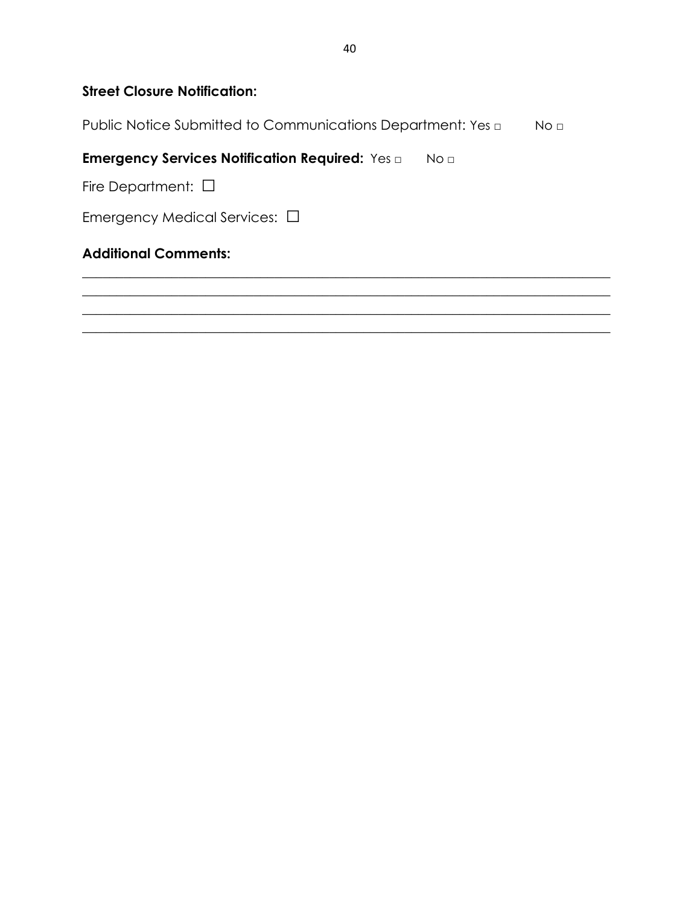## **Street Closure Notification:**

Public Notice Submitted to Communications Department: Yes □ No □

#### **Emergency Services Notification Required:** Yes □ No □

Fire Department: □

Emergency Medical Services: □

## **Additional Comments:**

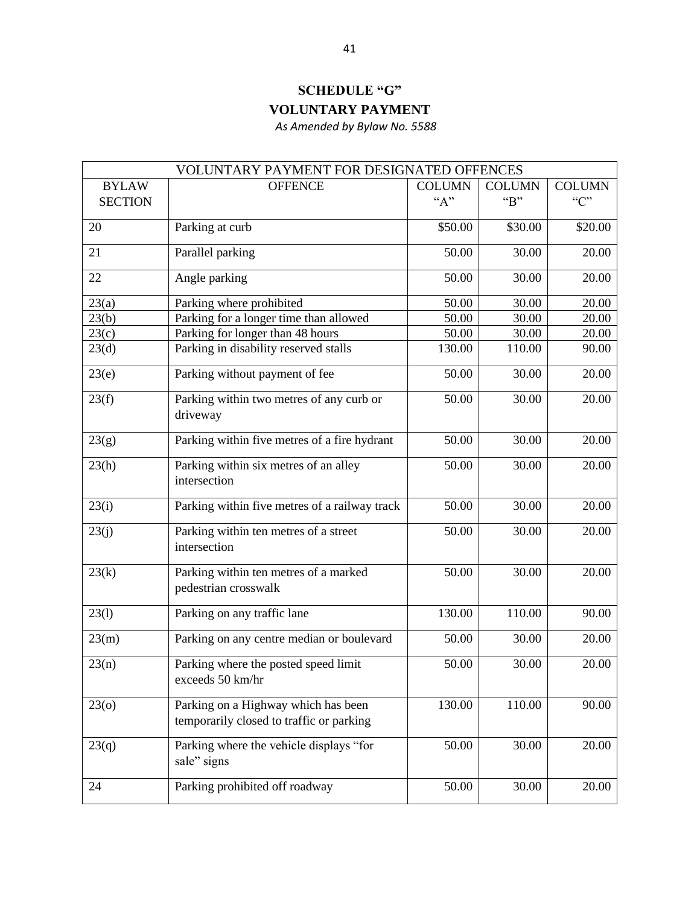## **SCHEDULE "G" VOLUNTARY PAYMENT**

 *As Amended by Bylaw No. 5588*

<span id="page-40-0"></span>

| VOLUNTARY PAYMENT FOR DESIGNATED OFFENCES |                                                                                 |               |               |               |  |
|-------------------------------------------|---------------------------------------------------------------------------------|---------------|---------------|---------------|--|
| <b>BYLAW</b>                              | <b>OFFENCE</b>                                                                  | <b>COLUMN</b> | <b>COLUMN</b> | <b>COLUMN</b> |  |
| <b>SECTION</b>                            |                                                                                 | ``A"          | B             | C             |  |
| 20                                        | Parking at curb                                                                 | \$50.00       | \$30.00       | \$20.00       |  |
| 21                                        | Parallel parking                                                                | 50.00         | 30.00         | 20.00         |  |
| 22                                        | Angle parking                                                                   | 50.00         | 30.00         | 20.00         |  |
| 23(a)                                     | Parking where prohibited                                                        | 50.00         | 30.00         | 20.00         |  |
| 23(b)                                     | Parking for a longer time than allowed                                          | 50.00         | 30.00         | 20.00         |  |
| 23(c)                                     | Parking for longer than 48 hours                                                | 50.00         | 30.00         | 20.00         |  |
| 23(d)                                     | Parking in disability reserved stalls                                           | 130.00        | 110.00        | 90.00         |  |
| 23(e)                                     | Parking without payment of fee                                                  | 50.00         | 30.00         | 20.00         |  |
| 23(f)                                     | Parking within two metres of any curb or<br>driveway                            | 50.00         | 30.00         | 20.00         |  |
| 23(g)                                     | Parking within five metres of a fire hydrant                                    | 50.00         | 30.00         | 20.00         |  |
| 23(h)                                     | Parking within six metres of an alley<br>intersection                           | 50.00         | 30.00         | 20.00         |  |
| 23(i)                                     | Parking within five metres of a railway track                                   | 50.00         | 30.00         | 20.00         |  |
| 23(j)                                     | Parking within ten metres of a street<br>intersection                           | 50.00         | 30.00         | 20.00         |  |
| 23(k)                                     | Parking within ten metres of a marked<br>pedestrian crosswalk                   | 50.00         | 30.00         | 20.00         |  |
| 23(1)                                     | Parking on any traffic lane                                                     | 130.00        | 110.00        | 90.00         |  |
| 23(m)                                     | Parking on any centre median or boulevard                                       | 50.00         | 30.00         | 20.00         |  |
| 23(n)                                     | Parking where the posted speed limit<br>exceeds 50 km/hr                        | 50.00         | 30.00         | 20.00         |  |
| 23 <sub>0</sub>                           | Parking on a Highway which has been<br>temporarily closed to traffic or parking | 130.00        | 110.00        | 90.00         |  |
| 23(q)                                     | Parking where the vehicle displays "for<br>sale" signs                          | 50.00         | 30.00         | 20.00         |  |
| 24                                        | Parking prohibited off roadway                                                  | 50.00         | 30.00         | 20.00         |  |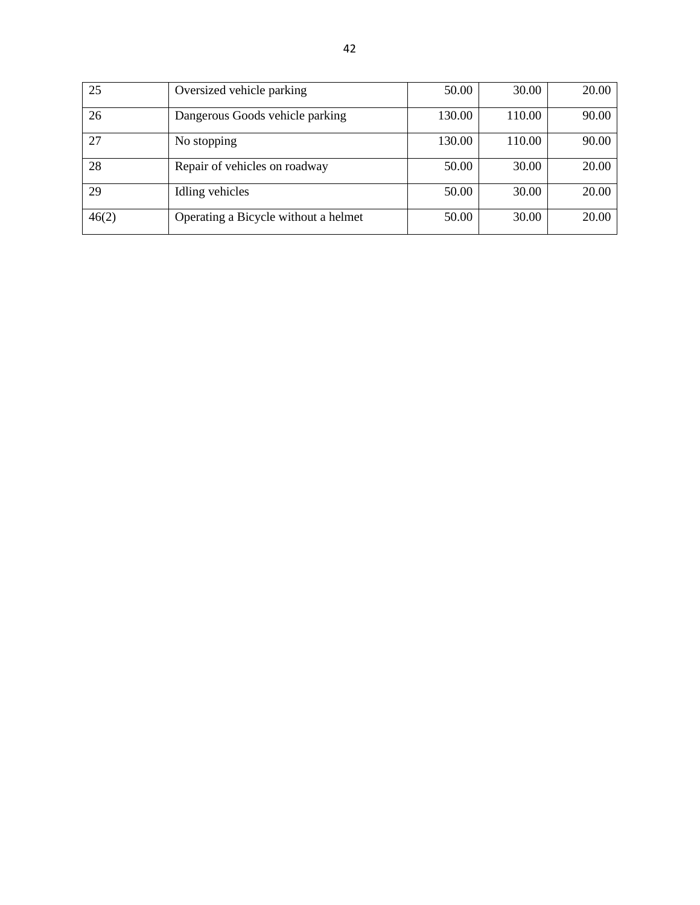| 25    | Oversized vehicle parking            | 50.00  | 30.00  | 20.00 |
|-------|--------------------------------------|--------|--------|-------|
| 26    | Dangerous Goods vehicle parking      | 130.00 | 110.00 | 90.00 |
| 27    | No stopping                          | 130.00 | 110.00 | 90.00 |
| 28    | Repair of vehicles on roadway        | 50.00  | 30.00  | 20.00 |
| 29    | Idling vehicles                      | 50.00  | 30.00  | 20.00 |
| 46(2) | Operating a Bicycle without a helmet | 50.00  | 30.00  | 20.00 |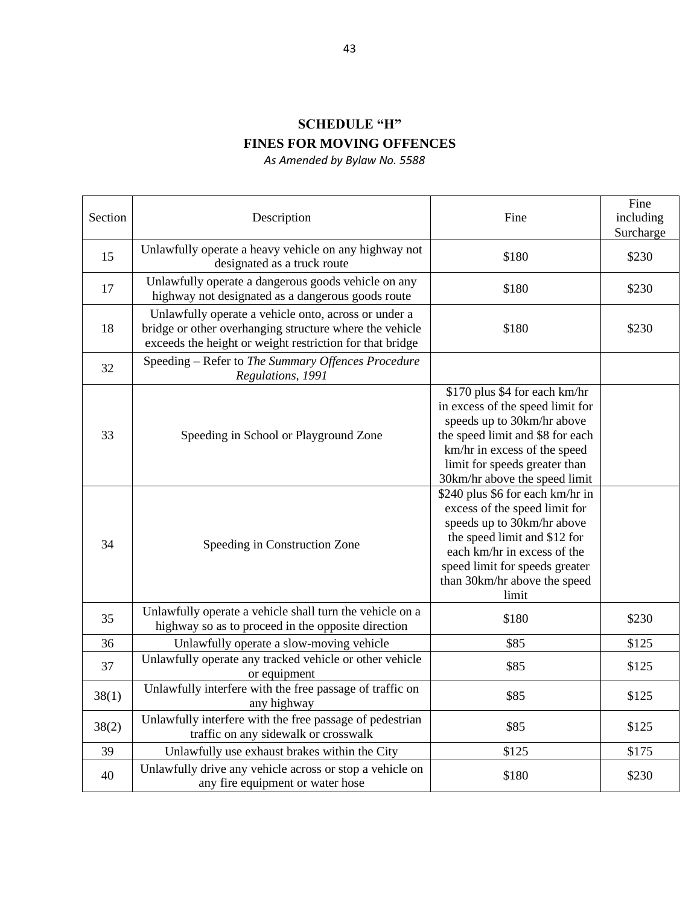## **SCHEDULE "H" FINES FOR MOVING OFFENCES**

*As Amended by Bylaw No. 5588*

<span id="page-42-0"></span>

| Section | Description                                                                                                                                                                 | Fine                                                                                                                                                                                                                                      | Fine<br>including<br>Surcharge |
|---------|-----------------------------------------------------------------------------------------------------------------------------------------------------------------------------|-------------------------------------------------------------------------------------------------------------------------------------------------------------------------------------------------------------------------------------------|--------------------------------|
| 15      | Unlawfully operate a heavy vehicle on any highway not<br>designated as a truck route                                                                                        | \$180                                                                                                                                                                                                                                     | \$230                          |
| 17      | Unlawfully operate a dangerous goods vehicle on any<br>highway not designated as a dangerous goods route                                                                    | \$180                                                                                                                                                                                                                                     | \$230                          |
| 18      | Unlawfully operate a vehicle onto, across or under a<br>bridge or other overhanging structure where the vehicle<br>exceeds the height or weight restriction for that bridge | \$180                                                                                                                                                                                                                                     | \$230                          |
| 32      | Speeding - Refer to The Summary Offences Procedure<br>Regulations, 1991                                                                                                     |                                                                                                                                                                                                                                           |                                |
| 33      | Speeding in School or Playground Zone                                                                                                                                       | \$170 plus \$4 for each km/hr<br>in excess of the speed limit for<br>speeds up to 30km/hr above<br>the speed limit and \$8 for each<br>km/hr in excess of the speed<br>limit for speeds greater than<br>30km/hr above the speed limit     |                                |
| 34      | Speeding in Construction Zone                                                                                                                                               | \$240 plus \$6 for each km/hr in<br>excess of the speed limit for<br>speeds up to 30km/hr above<br>the speed limit and \$12 for<br>each km/hr in excess of the<br>speed limit for speeds greater<br>than 30km/hr above the speed<br>limit |                                |
| 35      | Unlawfully operate a vehicle shall turn the vehicle on a<br>highway so as to proceed in the opposite direction                                                              | \$180                                                                                                                                                                                                                                     | \$230                          |
| 36      | Unlawfully operate a slow-moving vehicle                                                                                                                                    | \$85                                                                                                                                                                                                                                      | \$125                          |
| 37      | Unlawfully operate any tracked vehicle or other vehicle<br>or equipment                                                                                                     | \$85                                                                                                                                                                                                                                      | \$125                          |
| 38(1)   | Unlawfully interfere with the free passage of traffic on<br>any highway                                                                                                     | \$85                                                                                                                                                                                                                                      | \$125                          |
| 38(2)   | Unlawfully interfere with the free passage of pedestrian<br>traffic on any sidewalk or crosswalk                                                                            | \$85                                                                                                                                                                                                                                      | \$125                          |
| 39      | Unlawfully use exhaust brakes within the City                                                                                                                               | \$125                                                                                                                                                                                                                                     | \$175                          |
| 40      | Unlawfully drive any vehicle across or stop a vehicle on<br>any fire equipment or water hose                                                                                | \$180                                                                                                                                                                                                                                     | \$230                          |